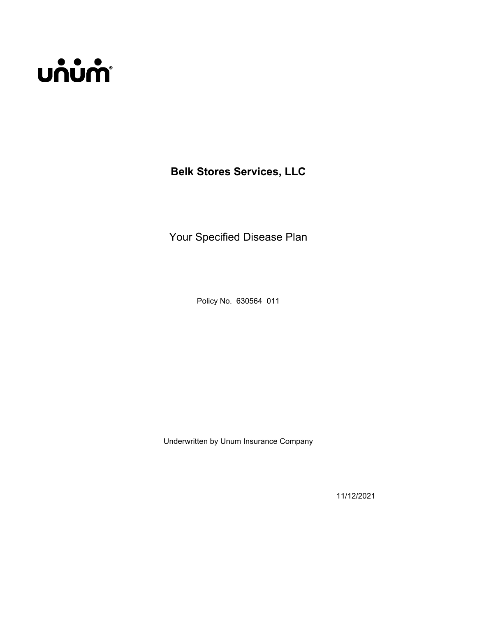# **บก๋บ๋ก**ำ

**Belk Stores Services, LLC**

Your Specified Disease Plan

Policy No. 630564 011

Underwritten by Unum Insurance Company

11/12/2021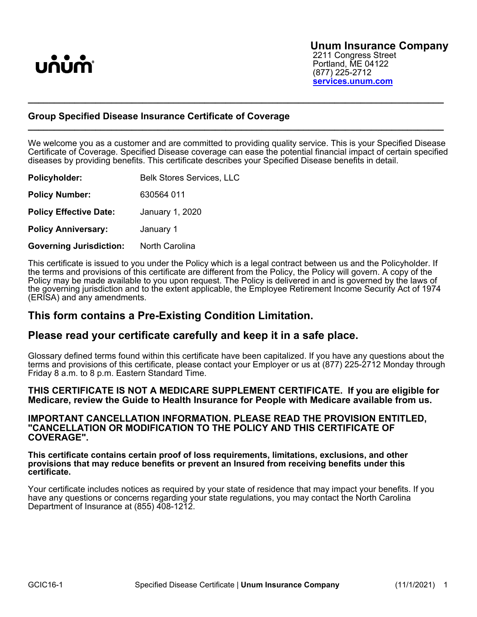

#### **Group Specified Disease Insurance Certificate of Coverage \_\_\_\_\_\_\_\_\_\_\_\_\_\_\_\_\_\_\_\_\_\_\_\_\_\_\_\_\_\_\_\_\_\_\_\_\_\_\_\_\_\_\_\_\_\_\_\_\_\_\_\_\_\_\_\_\_\_\_\_\_\_\_\_\_\_\_\_\_\_\_\_\_\_\_\_\_\_\_\_**

We welcome you as a customer and are committed to providing quality service. This is your Specified Disease Certificate of Coverage. Specified Disease coverage can ease the potential financial impact of certain specified diseases by providing benefits. This certificate describes your Specified Disease benefits in detail.

**\_\_\_\_\_\_\_\_\_\_\_\_\_\_\_\_\_\_\_\_\_\_\_\_\_\_\_\_\_\_\_\_\_\_\_\_\_\_\_\_\_\_\_\_\_\_\_\_\_\_\_\_\_\_\_\_\_\_\_\_\_\_\_\_\_\_\_\_\_\_\_\_\_\_\_\_\_\_\_\_**

| Policyholder:                  | <b>Belk Stores Services, LLC</b> |
|--------------------------------|----------------------------------|
| <b>Policy Number:</b>          | 630564 011                       |
| <b>Policy Effective Date:</b>  | January 1, 2020                  |
| <b>Policy Anniversary:</b>     | January 1                        |
| <b>Governing Jurisdiction:</b> | North Carolina                   |

This certificate is issued to you under the Policy which is a legal contract between us and the Policyholder. If the terms and provisions of this certificate are different from the Policy, the Policy will govern. A copy of the Policy may be made available to you upon request. The Policy is delivered in and is governed by the laws of the governing jurisdiction and to the extent applicable, the Employee Retirement Income Security Act of 1974 (ERISA) and any amendments.

# **This form contains a Pre-Existing Condition Limitation.**

## **Please read your certificate carefully and keep it in a safe place.**

Glossary defined terms found within this certificate have been capitalized. If you have any questions about the terms and provisions of this certificate, please contact your Employer or us at (877) 225-2712 Monday through Friday 8 a.m. to 8 p.m. Eastern Standard Time.

#### **THIS CERTIFICATE IS NOT A MEDICARE SUPPLEMENT CERTIFICATE. If you are eligible for Medicare, review the Guide to Health Insurance for People with Medicare available from us.**

#### **IMPORTANT CANCELLATION INFORMATION. PLEASE READ THE PROVISION ENTITLED, "CANCELLATION OR MODIFICATION TO THE POLICY AND THIS CERTIFICATE OF COVERAGE".**

#### **This certificate contains certain proof of loss requirements, limitations, exclusions, and other provisions that may reduce benefits or prevent an Insured from receiving benefits under this certificate.**

Your certificate includes notices as required by your state of residence that may impact your benefits. If you have any questions or concerns regarding your state regulations, you may contact the North Carolina Department of Insurance at (855) 408-1212.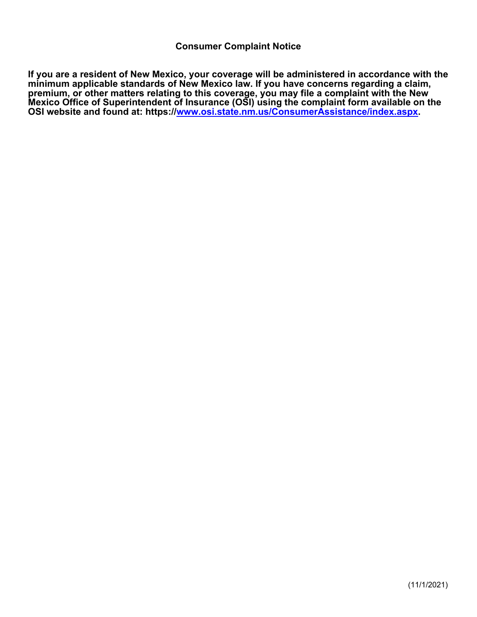**If you are a resident of New Mexico, your coverage will be administered in accordance with the minimum applicable standards of New Mexico law. If you have concerns regarding a claim, premium, or other matters relating to this coverage, you may file a complaint with the New Mexico Office of Superintendent of Insurance (OSI) using the complaint form available on the OSI website and found at: https://[www.osi.state.nm.us/ConsumerAssistance/index.aspx.](http://www.osi.state.nm.us/ConsumerAssistance/index.aspx)**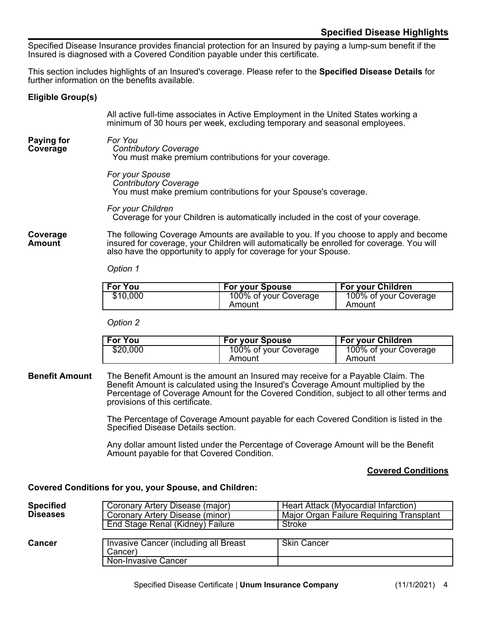Specified Disease Insurance provides financial protection for an Insured by paying a lump-sum benefit if the Insured is diagnosed with a Covered Condition payable under this certificate.

This section includes highlights of an Insured's coverage. Please refer to the **Specified Disease Details** for further information on the benefits available.

#### <span id="page-5-0"></span>**Eligible Group(s)**

All active full-time associates in Active Employment in the United States working a minimum of 30 hours per week, excluding temporary and seasonal employees.

#### <span id="page-5-1"></span>**Paying for Coverage** *For You*

*Contributory Coverage* You must make premium contributions for your coverage.

*For your Spouse Contributory Coverage* You must make premium contributions for your Spouse's coverage.

*For your Children* Coverage for your Children is automatically included in the cost of your coverage.

#### <span id="page-5-2"></span>**Coverage Amount**

The following Coverage Amounts are available to you. If you choose to apply and become insured for coverage, your Children will automatically be enrolled for coverage. You will also have the opportunity to apply for coverage for your Spouse.

#### *Option 1*

| <b>For You</b> | <b>For your Spouse</b> | <b>For your Children</b> |
|----------------|------------------------|--------------------------|
| \$10,000       | 100% of your Coverage  | 100% of your Coverage    |
|                | Amount                 | Amount                   |

#### *Option 2*

| <b>For You</b> | <b>For your Spouse</b> | For your Children     |
|----------------|------------------------|-----------------------|
| \$20,000       | 100% of your Coverage  | 100% of your Coverage |
|                | Amount                 | Amount                |

#### <span id="page-5-3"></span>**Benefit Amount** The Benefit Amount is the amount an Insured may receive for a Payable Claim. The Benefit Amount is calculated using the Insured's Coverage Amount multiplied by the Percentage of Coverage Amount for the Covered Condition, subject to all other terms and provisions of this certificate.

The Percentage of Coverage Amount payable for each Covered Condition is listed in the Specified Disease Details section.

Any dollar amount listed under the Percentage of Coverage Amount will be the Benefit Amount payable for that Covered Condition.

#### <span id="page-5-4"></span>**Covered Conditions**

#### **Covered Conditions for you, your Spouse, and Children:**

| <b>Specified</b><br><b>Diseases</b> | Coronary Artery Disease (major)<br>Coronary Artery Disease (minor) | Heart Attack (Myocardial Infarction)<br>Major Organ Failure Requiring Transplant |
|-------------------------------------|--------------------------------------------------------------------|----------------------------------------------------------------------------------|
|                                     | End Stage Renal (Kidney) Failure                                   | Stroke                                                                           |
|                                     |                                                                    |                                                                                  |
| <b>Cancer</b>                       | <b>Invasive Cancer (including all Breast</b><br>Cancer)            | <b>Skin Cancer</b>                                                               |
|                                     | Non-Invasive Cancer                                                |                                                                                  |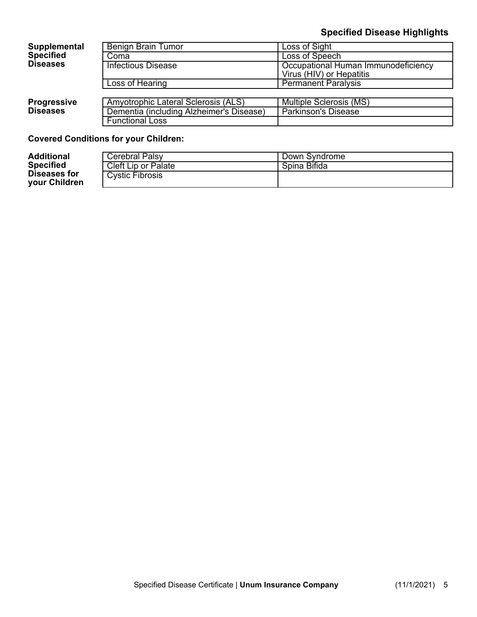# **Specified Disease Highlights**

#### Benign Brain Tumor | Loss of Sight Coma<br>
Infectious Disease Company Research<br>
Cocupational Hu Occupational Human Immunodeficiency Virus (HIV) or Hepatitis **Supplemental Specified Diseases** Loss of Hearing **Permanent Paralysis** Amyotrophic Lateral Sclerosis (ALS) | Multiple Sclerosis (MS)<br>Dementia (including Alzheimer's Disease) | Parkinson's Disease Dementia (including Alzheimer's Disease) **Progressive Diseases** Functional Loss

#### **Covered Conditions for your Children:**

| <b>Additional</b>                    | <b>Cerebral Palsy</b> | Down Syndrome |
|--------------------------------------|-----------------------|---------------|
| <b>Specified</b>                     | Cleft Lip or Palate   | Spina Bifida  |
| Diseases for<br><b>your Children</b> | Cystic Fibrosis       |               |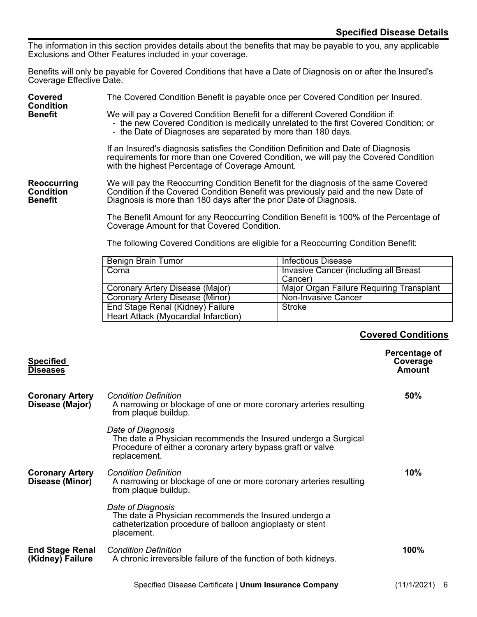The information in this section provides details about the benefits that may be payable to you, any applicable Exclusions and Other Features included in your coverage.

Benefits will only be payable for Covered Conditions that have a Date of Diagnosis on or after the Insured's Coverage Effective Date.

<span id="page-7-1"></span><span id="page-7-0"></span>

| Covered<br><b>Condition</b>                              | The Covered Condition Benefit is payable once per Covered Condition per Insured.                                                                                                                                                                |                                       |
|----------------------------------------------------------|-------------------------------------------------------------------------------------------------------------------------------------------------------------------------------------------------------------------------------------------------|---------------------------------------|
| <b>Benefit</b>                                           | We will pay a Covered Condition Benefit for a different Covered Condition if:<br>- the new Covered Condition is medically unrelated to the first Covered Condition; or<br>- the Date of Diagnoses are separated by more than 180 days.          |                                       |
|                                                          | If an Insured's diagnosis satisfies the Condition Definition and Date of Diagnosis<br>requirements for more than one Covered Condition, we will pay the Covered Condition<br>with the highest Percentage of Coverage Amount.                    |                                       |
| <b>Reoccurring</b><br><b>Condition</b><br><b>Benefit</b> | We will pay the Reoccurring Condition Benefit for the diagnosis of the same Covered<br>Condition if the Covered Condition Benefit was previously paid and the new Date of<br>Diagnosis is more than 180 days after the prior Date of Diagnosis. |                                       |
|                                                          | The Benefit Amount for any Reoccurring Condition Benefit is 100% of the Percentage of<br>Coverage Amount for that Covered Condition.                                                                                                            |                                       |
|                                                          | The following Covered Conditions are eligible for a Reoccurring Condition Benefit:                                                                                                                                                              |                                       |
|                                                          | Benign Brain Tumor                                                                                                                                                                                                                              | Infectious Disease                    |
|                                                          | Coma                                                                                                                                                                                                                                            | Invasive Cancer (including all Breast |

| Coma                                 | Invasive Cancer (including all Breast    |
|--------------------------------------|------------------------------------------|
|                                      | Cancer)                                  |
| Coronary Artery Disease (Major)      | Major Organ Failure Requiring Transplant |
| Coronary Artery Disease (Minor)      | Non-Invasive Cancer                      |
| End Stage Renal (Kidney) Failure     | Stroke                                   |
| Heart Attack (Myocardial Infarction) |                                          |

# <span id="page-7-2"></span>**Covered Conditions**

<span id="page-7-3"></span>

| <b>Specified</b><br><b>Diseases</b>        |                                                                                                                                                                    | Percentage of<br>Coverage<br><b>Amount</b> |
|--------------------------------------------|--------------------------------------------------------------------------------------------------------------------------------------------------------------------|--------------------------------------------|
| <b>Coronary Artery</b><br>Disease (Major)  | <b>Condition Definition</b><br>A narrowing or blockage of one or more coronary arteries resulting<br>from plaque buildup.                                          | 50%                                        |
|                                            | Date of Diagnosis<br>The date a Physician recommends the Insured undergo a Surgical<br>Procedure of either a coronary artery bypass graft or valve<br>replacement. |                                            |
| <b>Coronary Artery</b><br>Disease (Minor)  | <b>Condition Definition</b><br>A narrowing or blockage of one or more coronary arteries resulting<br>from plaque buildup.                                          | 10%                                        |
|                                            | Date of Diagnosis<br>The date a Physician recommends the Insured undergo a<br>catheterization procedure of balloon angioplasty or stent<br>placement.              |                                            |
| <b>End Stage Renal</b><br>(Kidney) Failure | <b>Condition Definition</b><br>A chronic irreversible failure of the function of both kidneys.                                                                     | 100%                                       |
|                                            | Specified Disease Certificate   Unum Insurance Company                                                                                                             | $(11/1/2021)$ 6                            |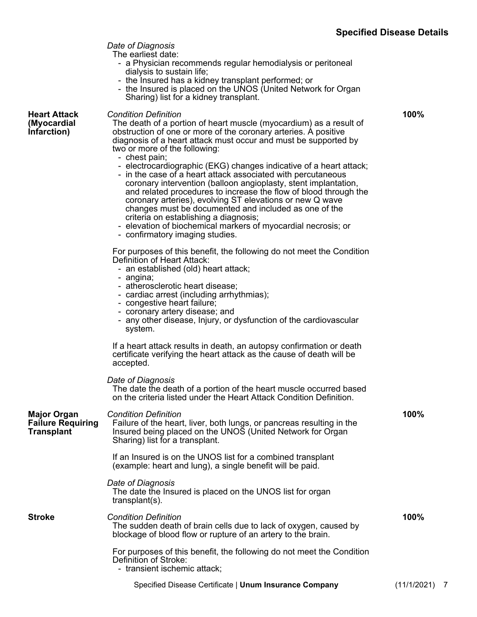**100%**

*Date of Diagnosis*

The earliest date:

- a Physician recommends regular hemodialysis or peritoneal dialysis to sustain life;
- the Insured has a kidney transplant performed; or
- the Insured is placed on the UNOS (United Network for Organ Sharing) list for a kidney transplant.

**Heart Attack (Myocardial**  *Condition Definition*

**Infarction)**

The death of a portion of heart muscle (myocardium) as a result of obstruction of one or more of the coronary arteries. A positive diagnosis of a heart attack must occur and must be supported by two or more of the following:

- chest pain;
- electrocardiographic (EKG) changes indicative of a heart attack;
- in the case of a heart attack associated with percutaneous coronary intervention (balloon angioplasty, stent implantation, and related procedures to increase the flow of blood through the coronary arteries), evolving ST elevations or new Q wave changes must be documented and included as one of the criteria on establishing a diagnosis;
- elevation of biochemical markers of myocardial necrosis; or
- confirmatory imaging studies.

For purposes of this benefit, the following do not meet the Condition Definition of Heart Attack:

- an established (old) heart attack;
- angina;
- atherosclerotic heart disease;
- cardiac arrest (including arrhythmias);
- congestive heart failure;
- coronary artery disease; and
- any other disease, Injury, or dysfunction of the cardiovascular system.

If a heart attack results in death, an autopsy confirmation or death certificate verifying the heart attack as the cause of death will be accepted.

*Date of Diagnosis* The date the death of a portion of the heart muscle occurred based on the criteria listed under the Heart Attack Condition Definition.

| <b>Major Organ</b><br><b>Failure Requiring</b><br><b>Transplant</b> | <b>Condition Definition</b><br>Failure of the heart, liver, both lungs, or pancreas resulting in the<br>Insured being placed on the UNOS (United Network for Organ<br>Sharing) list for a transplant. | 100%          |  |
|---------------------------------------------------------------------|-------------------------------------------------------------------------------------------------------------------------------------------------------------------------------------------------------|---------------|--|
|                                                                     | If an Insured is on the UNOS list for a combined transplant<br>(example: heart and lung), a single benefit will be paid.                                                                              |               |  |
|                                                                     | Date of Diagnosis<br>The date the Insured is placed on the UNOS list for organ<br>transplant(s).                                                                                                      |               |  |
| <b>Stroke</b>                                                       | <b>Condition Definition</b><br>The sudden death of brain cells due to lack of oxygen, caused by<br>blockage of blood flow or rupture of an artery to the brain.                                       | 100%          |  |
|                                                                     | For purposes of this benefit, the following do not meet the Condition<br>Definition of Stroke:<br>- transient ischemic attack;                                                                        |               |  |
|                                                                     | Specified Disease Certificate   Unum Insurance Company                                                                                                                                                | (11/1/2021) 7 |  |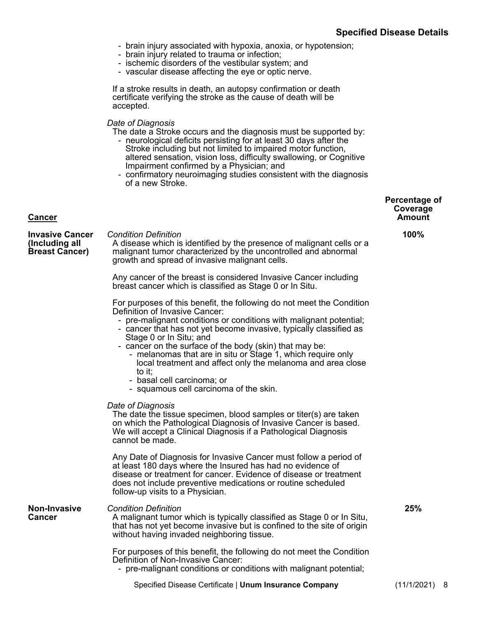- brain injury associated with hypoxia, anoxia, or hypotension;
- brain injury related to trauma or infection;
- ischemic disorders of the vestibular system; and
- vascular disease affecting the eye or optic nerve.

If a stroke results in death, an autopsy confirmation or death certificate verifying the stroke as the cause of death will be accepted.

#### *Date of Diagnosis*

<span id="page-9-0"></span>**Cancer**

The date a Stroke occurs and the diagnosis must be supported by: - neurological deficits persisting for at least 30 days after the

- Stroke including but not limited to impaired motor function, altered sensation, vision loss, difficulty swallowing, or Cognitive Impairment confirmed by a Physician; and
- confirmatory neuroimaging studies consistent with the diagnosis of a new Stroke.

#### **Percentage of Coverage Amount**

| <b>Invasive Cancer</b><br>(Including all<br><b>Breast Cancer)</b> | <b>Condition Definition</b><br>A disease which is identified by the presence of malignant cells or a<br>malignant tumor characterized by the uncontrolled and abnormal<br>growth and spread of invasive malignant cells.                                                                                                                                                                                                                                                                                                                                  | 100% |
|-------------------------------------------------------------------|-----------------------------------------------------------------------------------------------------------------------------------------------------------------------------------------------------------------------------------------------------------------------------------------------------------------------------------------------------------------------------------------------------------------------------------------------------------------------------------------------------------------------------------------------------------|------|
|                                                                   | Any cancer of the breast is considered Invasive Cancer including<br>breast cancer which is classified as Stage 0 or In Situ.                                                                                                                                                                                                                                                                                                                                                                                                                              |      |
|                                                                   | For purposes of this benefit, the following do not meet the Condition<br>Definition of Invasive Cancer:<br>- pre-malignant conditions or conditions with malignant potential;<br>- cancer that has not yet become invasive, typically classified as<br>Stage 0 or In Situ; and<br>- cancer on the surface of the body (skin) that may be:<br>- melanomas that are in situ or Stage 1, which require only<br>local treatment and affect only the melanoma and area close<br>to it;<br>- basal cell carcinoma; or<br>- squamous cell carcinoma of the skin. |      |
|                                                                   | Date of Diagnosis<br>The date the tissue specimen, blood samples or titer(s) are taken<br>on which the Pathological Diagnosis of Invasive Cancer is based.<br>We will accept a Clinical Diagnosis if a Pathological Diagnosis<br>cannot be made.                                                                                                                                                                                                                                                                                                          |      |
|                                                                   | Any Date of Diagnosis for Invasive Cancer must follow a period of<br>at least 180 days where the Insured has had no evidence of<br>disease or treatment for cancer. Evidence of disease or treatment<br>does not include preventive medications or routine scheduled<br>follow-up visits to a Physician.                                                                                                                                                                                                                                                  |      |
| <b>Non-Invasive</b><br><b>Cancer</b>                              | <b>Condition Definition</b><br>A malignant tumor which is typically classified as Stage 0 or In Situ,<br>that has not yet become invasive but is confined to the site of origin<br>without having invaded neighboring tissue.                                                                                                                                                                                                                                                                                                                             | 25%  |
|                                                                   | For purposes of this benefit, the following do not meet the Condition<br>Definition of Non-Invasive Cancer:<br>- pre-malignant conditions or conditions with malignant potential;                                                                                                                                                                                                                                                                                                                                                                         |      |
|                                                                   |                                                                                                                                                                                                                                                                                                                                                                                                                                                                                                                                                           |      |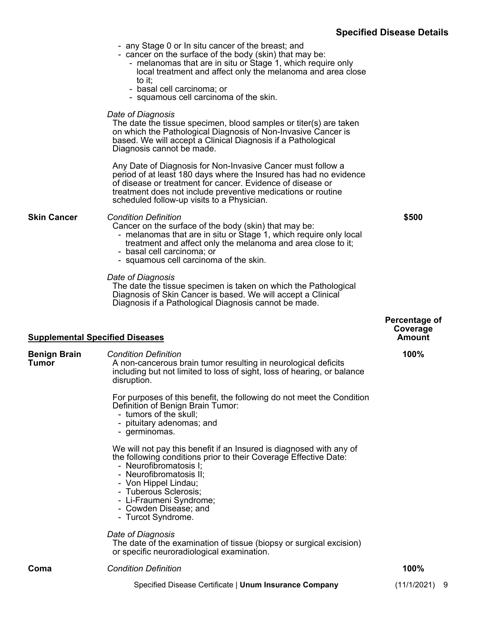|                                        |                                                                                                                                                                                                                                                                                                                               | <b>ODECITION DISEASE DETAILS</b>    |
|----------------------------------------|-------------------------------------------------------------------------------------------------------------------------------------------------------------------------------------------------------------------------------------------------------------------------------------------------------------------------------|-------------------------------------|
|                                        | - any Stage 0 or In situ cancer of the breast; and<br>- cancer on the surface of the body (skin) that may be:<br>- melanomas that are in situ or Stage 1, which require only<br>local treatment and affect only the melanoma and area close<br>to it;<br>- basal cell carcinoma; or<br>- squamous cell carcinoma of the skin. |                                     |
|                                        | Date of Diagnosis<br>The date the tissue specimen, blood samples or titer(s) are taken<br>on which the Pathological Diagnosis of Non-Invasive Cancer is<br>based. We will accept a Clinical Diagnosis if a Pathological<br>Diagnosis cannot be made.                                                                          |                                     |
|                                        | Any Date of Diagnosis for Non-Invasive Cancer must follow a<br>period of at least 180 days where the Insured has had no evidence<br>of disease or treatment for cancer. Evidence of disease or<br>treatment does not include preventive medications or routine<br>scheduled follow-up visits to a Physician.                  |                                     |
| <b>Skin Cancer</b>                     | <b>Condition Definition</b><br>Cancer on the surface of the body (skin) that may be:<br>- melanomas that are in situ or Stage 1, which require only local<br>treatment and affect only the melanoma and area close to it;<br>- basal cell carcinoma; or<br>- squamous cell carcinoma of the skin.                             | \$500                               |
|                                        | Date of Diagnosis<br>The date the tissue specimen is taken on which the Pathological<br>Diagnosis of Skin Cancer is based. We will accept a Clinical<br>Diagnosis if a Pathological Diagnosis cannot be made.                                                                                                                 |                                     |
| <b>Supplemental Specified Diseases</b> |                                                                                                                                                                                                                                                                                                                               | Percentage of<br>Coverage<br>Amount |
| <b>Benign Brain</b><br><b>Tumor</b>    | <b>Condition Definition</b><br>A non-cancerous brain tumor resulting in neurological deficits<br>including but not limited to loss of sight, loss of hearing, or balance<br>disruption.                                                                                                                                       | 100%                                |
|                                        | For purposes of this benefit, the following do not meet the Condition<br>Definition of Benign Brain Tumor:<br>- tumors of the skull;<br>- pituitary adenomas; and<br>- germinomas.                                                                                                                                            |                                     |
|                                        | We will not pay this benefit if an Insured is diagnosed with any of<br>the following conditions prior to their Coverage Effective Date:<br>- Neurofibromatosis I;<br>- Neurofibromatosis II;<br>- Von Hippel Lindau;<br>- Tuberous Sclerosis;<br>- Li-Fraumeni Syndrome;<br>- Cowden Disease; and<br>- Turcot Syndrome.       |                                     |
|                                        | Date of Diagnosis<br>The date of the examination of tissue (biopsy or surgical excision)<br>or specific neuroradiological examination.                                                                                                                                                                                        |                                     |
| Coma                                   | <b>Condition Definition</b>                                                                                                                                                                                                                                                                                                   | 100%                                |

<span id="page-10-0"></span>Specified Disease Certificate | **Unum Insurance Company** (11/1/2021) 9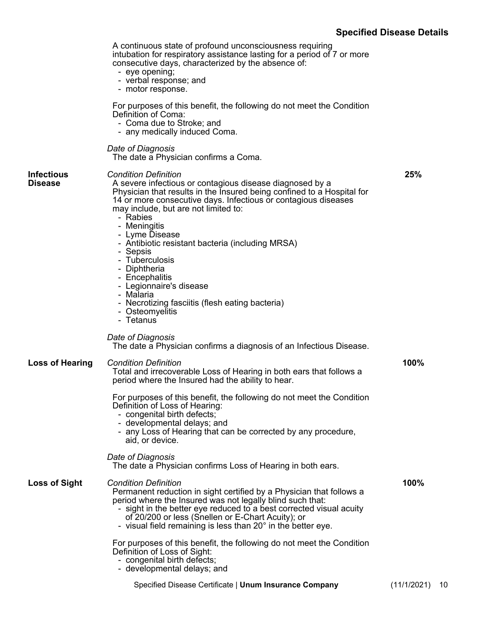# **Specified Disease Details**

|                        | A continuous state of profound unconsciousness requiring<br>intubation for respiratory assistance lasting for a period of 7 or more<br>consecutive days, characterized by the absence of:<br>- eye opening;<br>- verbal response; and<br>- motor response.<br>For purposes of this benefit, the following do not meet the Condition<br>Definition of Coma:<br>- Coma due to Stroke; and<br>- any medically induced Coma.                                                                                                                                                 |      |
|------------------------|--------------------------------------------------------------------------------------------------------------------------------------------------------------------------------------------------------------------------------------------------------------------------------------------------------------------------------------------------------------------------------------------------------------------------------------------------------------------------------------------------------------------------------------------------------------------------|------|
|                        | Date of Diagnosis<br>The date a Physician confirms a Coma.                                                                                                                                                                                                                                                                                                                                                                                                                                                                                                               |      |
| Infectious<br>Disease  | <b>Condition Definition</b><br>A severe infectious or contagious disease diagnosed by a<br>Physician that results in the Insured being confined to a Hospital for<br>14 or more consecutive days. Infectious or contagious diseases<br>may include, but are not limited to:<br>- Rabies<br>- Meningitis<br>- Lyme Disease<br>- Antibiotic resistant bacteria (including MRSA)<br>- Sepsis<br>- Tuberculosis<br>- Diphtheria<br>- Encephalitis<br>- Legionnaire's disease<br>- Malaria<br>- Necrotizing fasciitis (flesh eating bacteria)<br>- Osteomyelitis<br>- Tetanus | 25%  |
|                        | Date of Diagnosis<br>The date a Physician confirms a diagnosis of an Infectious Disease.                                                                                                                                                                                                                                                                                                                                                                                                                                                                                 |      |
| <b>Loss of Hearing</b> | <b>Condition Definition</b><br>Total and irrecoverable Loss of Hearing in both ears that follows a<br>period where the Insured had the ability to hear.                                                                                                                                                                                                                                                                                                                                                                                                                  | 100% |
|                        | For purposes of this benefit, the following do not meet the Condition<br>Definition of Loss of Hearing:<br>- congenital birth defects;<br>- developmental delays; and<br>- any Loss of Hearing that can be corrected by any procedure,<br>aid, or device.                                                                                                                                                                                                                                                                                                                |      |
|                        | Date of Diagnosis<br>The date a Physician confirms Loss of Hearing in both ears.                                                                                                                                                                                                                                                                                                                                                                                                                                                                                         |      |
| <b>Loss of Sight</b>   | <b>Condition Definition</b><br>Permanent reduction in sight certified by a Physician that follows a<br>period where the Insured was not legally blind such that:<br>- sight in the better eye reduced to a best corrected visual acuity<br>of 20/200 or less (Snellen or E-Chart Acuity); or<br>- visual field remaining is less than $20^\circ$ in the better eye.                                                                                                                                                                                                      | 100% |
|                        | For purposes of this benefit, the following do not meet the Condition<br>Definition of Loss of Sight:<br>- congenital birth defects;<br>- developmental delays; and                                                                                                                                                                                                                                                                                                                                                                                                      |      |
|                        |                                                                                                                                                                                                                                                                                                                                                                                                                                                                                                                                                                          |      |

Specified Disease Certificate | **Unum Insurance Company** (11/1/2021) 10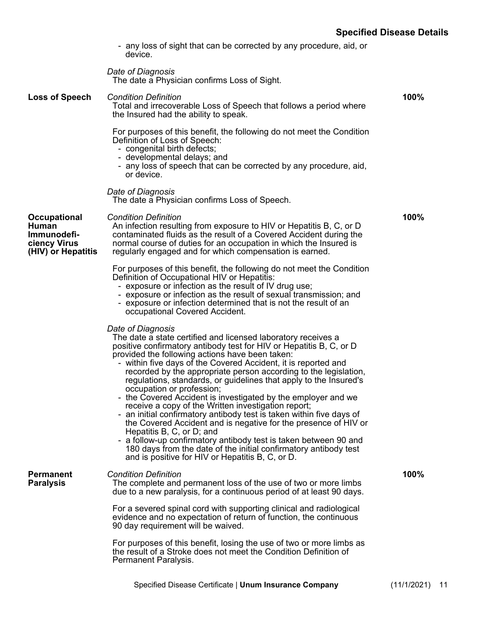**100%**

- any loss of sight that can be corrected by any procedure, aid, or device.

*Date of Diagnosis* The date a Physician confirms Loss of Sight.

#### **Loss of Speech** *Condition Definition* Total and irrecoverable Loss of Speech that follows a period where the Insured had the ability to speak. For purposes of this benefit, the following do not meet the Condition

- Definition of Loss of Speech:
- congenital birth defects;
- developmental delays; and
- any loss of speech that can be corrected by any procedure, aid, or device.

*Date of Diagnosis*

The date a Physician confirms Loss of Speech.

**Occupational Human Immunodeficiency Virus (HIV) or Hepatitis** *Condition Definition* An infection resulting from exposure to HIV or Hepatitis B, C, or D contaminated fluids as the result of a Covered Accident during the normal course of duties for an occupation in which the Insured is regularly engaged and for which compensation is earned. **100%**

> For purposes of this benefit, the following do not meet the Condition Definition of Occupational HIV or Hepatitis:

- exposure or infection as the result of IV drug use;
- exposure or infection as the result of sexual transmission; and
- exposure or infection determined that is not the result of an occupational Covered Accident.

#### *Date of Diagnosis*

The date a state certified and licensed laboratory receives a positive confirmatory antibody test for HIV or Hepatitis B, C, or D provided the following actions have been taken:

- within five days of the Covered Accident, it is reported and recorded by the appropriate person according to the legislation, regulations, standards, or guidelines that apply to the Insured's occupation or profession;
- the Covered Accident is investigated by the employer and we receive a copy of the Written investigation report;
- an initial confirmatory antibody test is taken within five days of the Covered Accident and is negative for the presence of HIV or Hepatitis B, C, or D; and
- a follow-up confirmatory antibody test is taken between 90 and 180 days from the date of the initial confirmatory antibody test and is positive for HIV or Hepatitis B, C, or D.

**Permanent** 

**Paralysis**

#### *Condition Definition*

The complete and permanent loss of the use of two or more limbs due to a new paralysis, for a continuous period of at least 90 days.

For a severed spinal cord with supporting clinical and radiological evidence and no expectation of return of function, the continuous 90 day requirement will be waived.

For purposes of this benefit, losing the use of two or more limbs as the result of a Stroke does not meet the Condition Definition of Permanent Paralysis.

**100%**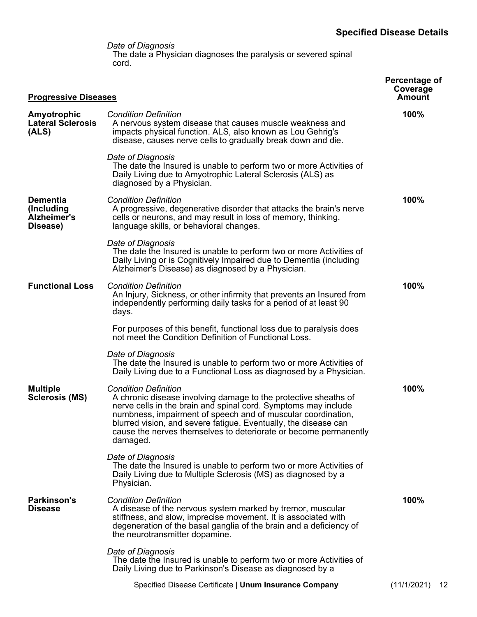*Date of Diagnosis* The date a Physician diagnoses the paralysis or severed spinal cord.

<span id="page-13-0"></span>

| <b>Progressive Diseases</b>                              | Percentage of<br>Coverage<br>Amount                                                                                                                                                                                                                                                                                                                                                 |                   |
|----------------------------------------------------------|-------------------------------------------------------------------------------------------------------------------------------------------------------------------------------------------------------------------------------------------------------------------------------------------------------------------------------------------------------------------------------------|-------------------|
| Amyotrophic<br><b>Lateral Sclerosis</b><br>(ALS)         | <b>Condition Definition</b><br>A nervous system disease that causes muscle weakness and<br>impacts physical function. ALS, also known as Lou Gehrig's<br>disease, causes nerve cells to gradually break down and die.                                                                                                                                                               | 100%              |
|                                                          | Date of Diagnosis<br>The date the Insured is unable to perform two or more Activities of<br>Daily Living due to Amyotrophic Lateral Sclerosis (ALS) as<br>diagnosed by a Physician.                                                                                                                                                                                                 |                   |
| <b>Dementia</b><br>(Including<br>Alzheimer's<br>Disease) | <b>Condition Definition</b><br>A progressive, degenerative disorder that attacks the brain's nerve<br>cells or neurons, and may result in loss of memory, thinking,<br>language skills, or behavioral changes.                                                                                                                                                                      | 100%              |
|                                                          | Date of Diagnosis<br>The date the Insured is unable to perform two or more Activities of<br>Daily Living or is Cognitively Impaired due to Dementia (including<br>Alzheimer's Disease) as diagnosed by a Physician.                                                                                                                                                                 |                   |
| <b>Functional Loss</b>                                   | <b>Condition Definition</b><br>An Injury, Sickness, or other infirmity that prevents an Insured from<br>independently performing daily tasks for a period of at least 90<br>days.                                                                                                                                                                                                   | 100%              |
|                                                          | For purposes of this benefit, functional loss due to paralysis does<br>not meet the Condition Definition of Functional Loss.                                                                                                                                                                                                                                                        |                   |
|                                                          | Date of Diagnosis<br>The date the Insured is unable to perform two or more Activities of<br>Daily Living due to a Functional Loss as diagnosed by a Physician.                                                                                                                                                                                                                      |                   |
| <b>Multiple</b><br><b>Sclerosis (MS)</b>                 | <b>Condition Definition</b><br>A chronic disease involving damage to the protective sheaths of<br>nerve cells in the brain and spinal cord. Symptoms may include<br>numbness, impairment of speech and of muscular coordination,<br>blurred vision, and severe fatigue. Eventually, the disease can<br>cause the nerves themselves to deteriorate or become permanently<br>damaged. | 100%              |
|                                                          | Date of Diagnosis<br>The date the Insured is unable to perform two or more Activities of<br>Daily Living due to Multiple Sclerosis (MS) as diagnosed by a<br>Physician.                                                                                                                                                                                                             |                   |
| <b>Parkinson's</b><br><b>Disease</b>                     | <b>Condition Definition</b><br>A disease of the nervous system marked by tremor, muscular<br>stiffness, and slow, imprecise movement. It is associated with<br>degeneration of the basal ganglia of the brain and a deficiency of<br>the neurotransmitter dopamine.                                                                                                                 | 100%              |
|                                                          | Date of Diagnosis<br>The date the Insured is unable to perform two or more Activities of<br>Daily Living due to Parkinson's Disease as diagnosed by a                                                                                                                                                                                                                               |                   |
|                                                          | Specified Disease Certificate   Unum Insurance Company                                                                                                                                                                                                                                                                                                                              | (11/1/2021)<br>12 |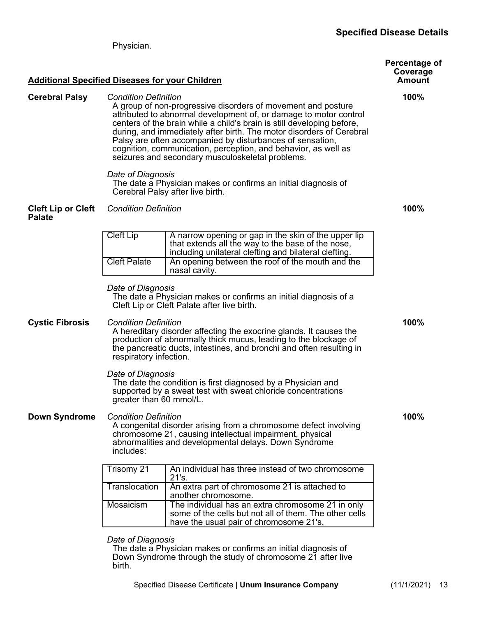#### **Specified Disease Details**

<span id="page-14-0"></span>**Additional Specified Diseases for your Children Percentage of Coverage Amount Cerebral Palsy** *Condition Definition* A group of non-progressive disorders of movement and posture attributed to abnormal development of, or damage to motor control centers of the brain while a child's brain is still developing before, during, and immediately after birth. The motor disorders of Cerebral Palsy are often accompanied by disturbances of sensation, cognition, communication, perception, and behavior, as well as seizures and secondary musculoskeletal problems. *Date of Diagnosis* The date a Physician makes or confirms an initial diagnosis of Cerebral Palsy after live birth. **100% Cleft Lip or Cleft Palate** *Condition Definition* **100%** Cleft Lip  $\vert$  A narrow opening or gap in the skin of the upper lip that extends all the way to the base of the nose, including unilateral clefting and bilateral clefting. Cleft Palate  $\vert$  An opening between the roof of the mouth and the nasal cavity. *Date of Diagnosis* The date a Physician makes or confirms an initial diagnosis of a Cleft Lip or Cleft Palate after live birth. **Cystic Fibrosis** *Condition Definition* A hereditary disorder affecting the exocrine glands. It causes the production of abnormally thick mucus, leading to the blockage of the pancreatic ducts, intestines, and bronchi and often resulting in respiratory infection. *Date of Diagnosis* The date the condition is first diagnosed by a Physician and supported by a sweat test with sweat chloride concentrations greater than 60 mmol/L. **100% Down Syndrome** *Condition Definition* A congenital disorder arising from a chromosome defect involving chromosome 21, causing intellectual impairment, physical abnormalities and developmental delays. Down Syndrome includes: **100%** Trisomy 21 An individual has three instead of two chromosome 21's. Translocation  $\vert$  An extra part of chromosome 21 is attached to another chromosome. Mosaicism | The individual has an extra chromosome 21 in only some of the cells but not all of them. The other cells have the usual pair of chromosome 21's.

*Date of Diagnosis*

Physician.

The date a Physician makes or confirms an initial diagnosis of Down Syndrome through the study of chromosome 21 after live birth.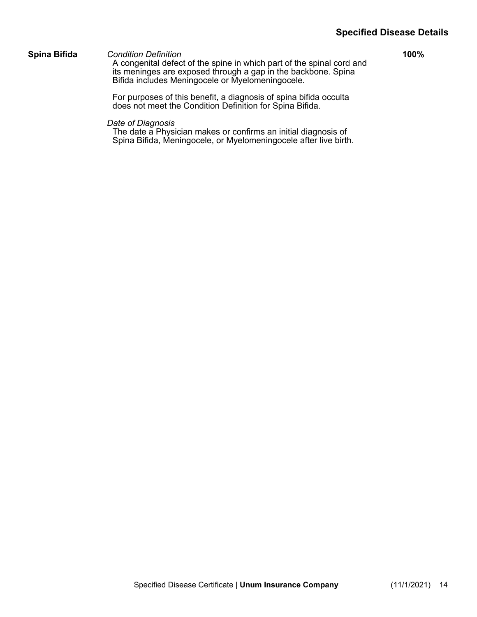#### **Specified Disease Details**

**Spina Bifida** *Condition Definition*

A congenital defect of the spine in which part of the spinal cord and its meninges are exposed through a gap in the backbone. Spina Bifida includes Meningocele or Myelomeningocele.

**100%**

For purposes of this benefit, a diagnosis of spina bifida occulta does not meet the Condition Definition for Spina Bifida.

*Date of Diagnosis*

The date a Physician makes or confirms an initial diagnosis of Spina Bifida, Meningocele, or Myelomeningocele after live birth.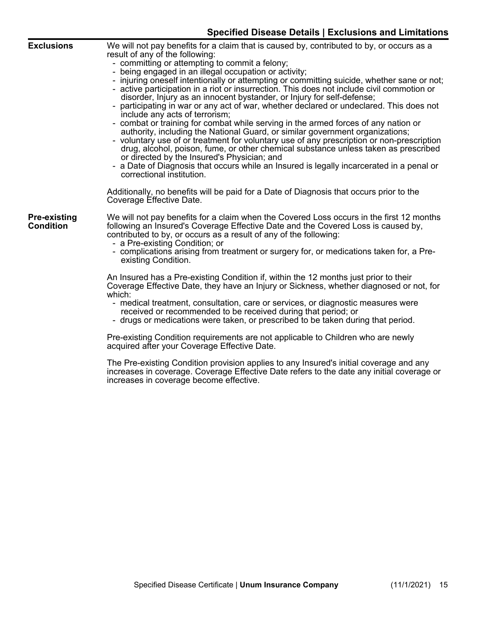|                                         | <b>Specified Disease Details   Exclusions and Limitations</b>                                                                                                                                                                                                                                                                                                                                                                                                                                                                                                                                                                                                                                                                                                                                                                                                                                                                                                                                                                                                                                                                                                                 |
|-----------------------------------------|-------------------------------------------------------------------------------------------------------------------------------------------------------------------------------------------------------------------------------------------------------------------------------------------------------------------------------------------------------------------------------------------------------------------------------------------------------------------------------------------------------------------------------------------------------------------------------------------------------------------------------------------------------------------------------------------------------------------------------------------------------------------------------------------------------------------------------------------------------------------------------------------------------------------------------------------------------------------------------------------------------------------------------------------------------------------------------------------------------------------------------------------------------------------------------|
| <b>Exclusions</b>                       | We will not pay benefits for a claim that is caused by, contributed to by, or occurs as a<br>result of any of the following:<br>- committing or attempting to commit a felony;<br>- being engaged in an illegal occupation or activity;<br>- injuring oneself intentionally or attempting or committing suicide, whether sane or not;<br>- active participation in a riot or insurrection. This does not include civil commotion or<br>disorder, Injury as an innocent bystander, or Injury for self-defense;<br>- participating in war or any act of war, whether declared or undeclared. This does not<br>include any acts of terrorism;<br>- combat or training for combat while serving in the armed forces of any nation or<br>authority, including the National Guard, or similar government organizations;<br>- voluntary use of or treatment for voluntary use of any prescription or non-prescription<br>drug, alcohol, poison, fume, or other chemical substance unless taken as prescribed<br>or directed by the Insured's Physician; and<br>- a Date of Diagnosis that occurs while an Insured is legally incarcerated in a penal or<br>correctional institution. |
|                                         | Additionally, no benefits will be paid for a Date of Diagnosis that occurs prior to the<br>Coverage Effective Date.                                                                                                                                                                                                                                                                                                                                                                                                                                                                                                                                                                                                                                                                                                                                                                                                                                                                                                                                                                                                                                                           |
| <b>Pre-existing</b><br><b>Condition</b> | We will not pay benefits for a claim when the Covered Loss occurs in the first 12 months<br>following an Insured's Coverage Effective Date and the Covered Loss is caused by,<br>contributed to by, or occurs as a result of any of the following:<br>- a Pre-existing Condition; or<br>- complications arising from treatment or surgery for, or medications taken for, a Pre-<br>existing Condition.                                                                                                                                                                                                                                                                                                                                                                                                                                                                                                                                                                                                                                                                                                                                                                        |
|                                         | An Insured has a Pre-existing Condition if, within the 12 months just prior to their<br>Coverage Effective Date, they have an Injury or Sickness, whether diagnosed or not, for<br>which:<br>- medical treatment, consultation, care or services, or diagnostic measures were<br>received or recommended to be received during that period; or<br>- drugs or medications were taken, or prescribed to be taken during that period.                                                                                                                                                                                                                                                                                                                                                                                                                                                                                                                                                                                                                                                                                                                                            |
|                                         | Pre-existing Condition requirements are not applicable to Children who are newly<br>acquired after your Coverage Effective Date.                                                                                                                                                                                                                                                                                                                                                                                                                                                                                                                                                                                                                                                                                                                                                                                                                                                                                                                                                                                                                                              |

The Pre-existing Condition provision applies to any Insured's initial coverage and any increases in coverage. Coverage Effective Date refers to the date any initial coverage or increases in coverage become effective.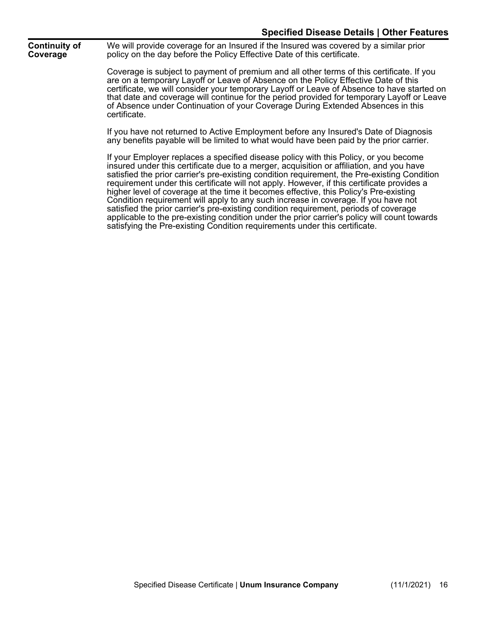**Continuity of Coverage**

We will provide coverage for an Insured if the Insured was covered by a similar prior policy on the day before the Policy Effective Date of this certificate.

Coverage is subject to payment of premium and all other terms of this certificate. If you are on a temporary Layoff or Leave of Absence on the Policy Effective Date of this certificate, we will consider your temporary Layoff or Leave of Absence to have started on that date and coverage will continue for the period provided for temporary Layoff or Leave of Absence under Continuation of your Coverage During Extended Absences in this certificate.

If you have not returned to Active Employment before any Insured's Date of Diagnosis any benefits payable will be limited to what would have been paid by the prior carrier.

If your Employer replaces a specified disease policy with this Policy, or you become insured under this certificate due to a merger, acquisition or affiliation, and you have satisfied the prior carrier's pre-existing condition requirement, the Pre-existing Condition requirement under this certificate will not apply. However, if this certificate provides a higher level of coverage at the time it becomes effective, this Policy's Pre-existing Condition requirement will apply to any such increase in coverage. If you have not satisfied the prior carrier's pre-existing condition requirement, periods of coverage applicable to the pre-existing condition under the prior carrier's policy will count towards satisfying the Pre-existing Condition requirements under this certificate.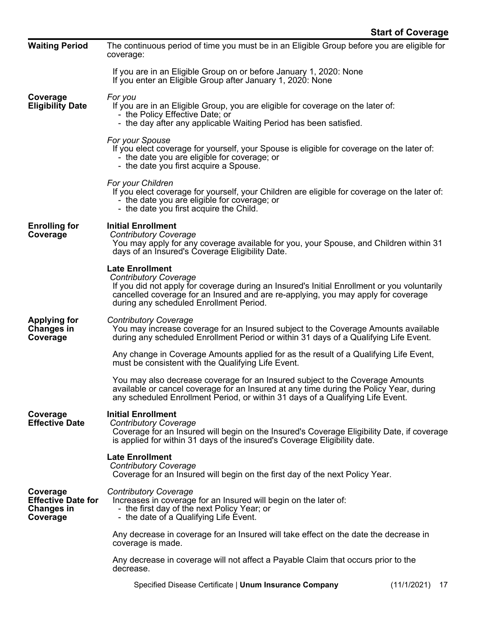| <b>Waiting Period</b>                                                  | The continuous period of time you must be in an Eligible Group before you are eligible for<br>coverage:                                                                                                                                                                               |  |  |  |  |
|------------------------------------------------------------------------|---------------------------------------------------------------------------------------------------------------------------------------------------------------------------------------------------------------------------------------------------------------------------------------|--|--|--|--|
|                                                                        | If you are in an Eligible Group on or before January 1, 2020: None<br>If you enter an Eligible Group after January 1, 2020: None                                                                                                                                                      |  |  |  |  |
| Coverage<br><b>Eligibility Date</b>                                    | For you<br>If you are in an Eligible Group, you are eligible for coverage on the later of:<br>- the Policy Effective Date; or<br>- the day after any applicable Waiting Period has been satisfied.                                                                                    |  |  |  |  |
|                                                                        | For your Spouse<br>If you elect coverage for yourself, your Spouse is eligible for coverage on the later of:<br>- the date you are eligible for coverage; or<br>- the date you first acquire a Spouse.                                                                                |  |  |  |  |
|                                                                        | For your Children<br>If you elect coverage for yourself, your Children are eligible for coverage on the later of:<br>- the date you are eligible for coverage; or<br>- the date you first acquire the Child.                                                                          |  |  |  |  |
| <b>Enrolling for</b><br>Coverage                                       | <b>Initial Enrollment</b><br><b>Contributory Coverage</b><br>You may apply for any coverage available for you, your Spouse, and Children within 31<br>days of an Insured's Coverage Eligibility Date.                                                                                 |  |  |  |  |
|                                                                        | <b>Late Enrollment</b><br><b>Contributory Coverage</b><br>If you did not apply for coverage during an Insured's Initial Enrollment or you voluntarily<br>cancelled coverage for an Insured and are re-applying, you may apply for coverage<br>during any scheduled Enrollment Period. |  |  |  |  |
| <b>Applying for</b><br><b>Changes in</b><br>Coverage                   | <b>Contributory Coverage</b><br>You may increase coverage for an Insured subject to the Coverage Amounts available<br>during any scheduled Enrollment Period or within 31 days of a Qualifying Life Event.                                                                            |  |  |  |  |
|                                                                        | Any change in Coverage Amounts applied for as the result of a Qualifying Life Event,<br>must be consistent with the Qualifying Life Event.                                                                                                                                            |  |  |  |  |
|                                                                        | You may also decrease coverage for an Insured subject to the Coverage Amounts<br>available or cancel coverage for an Insured at any time during the Policy Year, during<br>any scheduled Enrollment Period, or within 31 days of a Qualifying Life Event.                             |  |  |  |  |
| Coverage<br><b>Effective Date</b>                                      | <b>Initial Enrollment</b><br><b>Contributory Coverage</b><br>Coverage for an Insured will begin on the Insured's Coverage Eligibility Date, if coverage<br>is applied for within 31 days of the insured's Coverage Eligibility date.                                                  |  |  |  |  |
|                                                                        | <b>Late Enrollment</b><br><b>Contributory Coverage</b><br>Coverage for an Insured will begin on the first day of the next Policy Year.                                                                                                                                                |  |  |  |  |
| Coverage<br><b>Effective Date for</b><br><b>Changes in</b><br>Coverage | <b>Contributory Coverage</b><br>Increases in coverage for an Insured will begin on the later of:<br>- the first day of the next Policy Year; or<br>- the date of a Qualifying Life Event.                                                                                             |  |  |  |  |
|                                                                        | Any decrease in coverage for an Insured will take effect on the date the decrease in<br>coverage is made.                                                                                                                                                                             |  |  |  |  |
|                                                                        | Any decrease in coverage will not affect a Payable Claim that occurs prior to the<br>decrease.                                                                                                                                                                                        |  |  |  |  |
|                                                                        | $(44/10024)$ $47$<br>Consified Diagona Cartificate   Haum Incurrence Company                                                                                                                                                                                                          |  |  |  |  |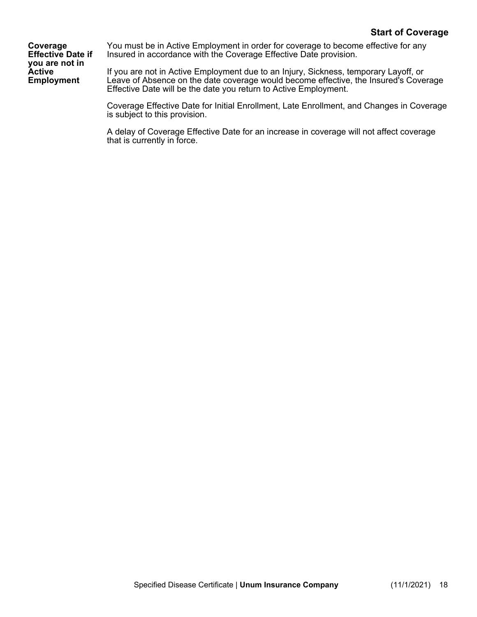**Coverage Effective Date if you are not in Active Employment**

You must be in Active Employment in order for coverage to become effective for any Insured in accordance with the Coverage Effective Date provision.

If you are not in Active Employment due to an Injury, Sickness, temporary Layoff, or Leave of Absence on the date coverage would become effective, the Insured's Coverage Effective Date will be the date you return to Active Employment.

Coverage Effective Date for Initial Enrollment, Late Enrollment, and Changes in Coverage is subject to this provision.

A delay of Coverage Effective Date for an increase in coverage will not affect coverage that is currently in force.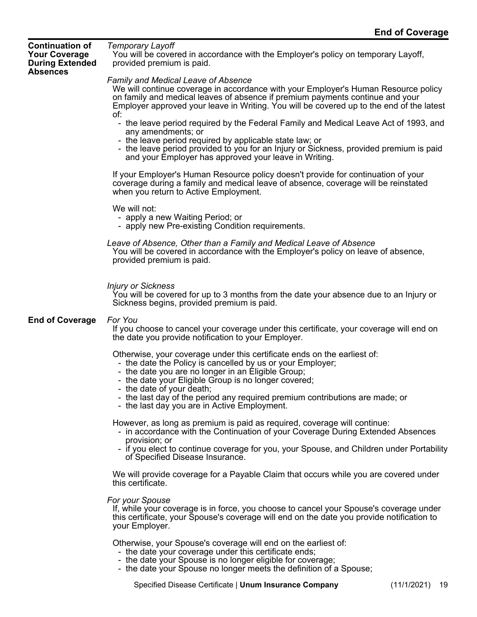**Continuation of Your Coverage During Extended Absences** 

*Temporary Layoff* You will be covered in accordance with the Employer's policy on temporary Layoff, provided premium is paid.

#### *Family and Medical Leave of Absence*

We will continue coverage in accordance with your Employer's Human Resource policy on family and medical leaves of absence if premium payments continue and your Employer approved your leave in Writing. You will be covered up to the end of the latest of:

- the leave period required by the Federal Family and Medical Leave Act of 1993, and any amendments; or
- the leave period required by applicable state law; or
- the leave period provided to you for an Injury or Sickness, provided premium is paid and your Employer has approved your leave in Writing.

If your Employer's Human Resource policy doesn't provide for continuation of your coverage during a family and medical leave of absence, coverage will be reinstated when you return to Active Employment.

We will not:

- apply a new Waiting Period; or
- apply new Pre-existing Condition requirements.

#### *Leave of Absence, Other than a Family and Medical Leave of Absence*

You will be covered in accordance with the Employer's policy on leave of absence, provided premium is paid.

#### *Injury or Sickness*

You will be covered for up to 3 months from the date your absence due to an Injury or Sickness begins, provided premium is paid.

#### **End of Coverage** *For You*

If you choose to cancel your coverage under this certificate, your coverage will end on the date you provide notification to your Employer.

Otherwise, your coverage under this certificate ends on the earliest of:

- the date the Policy is cancelled by us or your Employer;
- the date you are no longer in an Eligible Group;
- the date your Eligible Group is no longer covered;
- the date of your death;
- the last day of the period any required premium contributions are made; or
- the last day you are in Active Employment.

However, as long as premium is paid as required, coverage will continue:

- in accordance with the Continuation of your Coverage During Extended Absences provision; or
- if you elect to continue coverage for you, your Spouse, and Children under Portability of Specified Disease Insurance.

We will provide coverage for a Payable Claim that occurs while you are covered under this certificate.

*For your Spouse*

If, while your coverage is in force, you choose to cancel your Spouse's coverage under this certificate, your Spouse's coverage will end on the date you provide notification to your Employer.

Otherwise, your Spouse's coverage will end on the earliest of:

- the date your coverage under this certificate ends;
- the date your Spouse is no longer eligible for coverage;
- the date your Spouse no longer meets the definition of a Spouse;

Specified Disease Certificate | **Unum Insurance Company** (11/1/2021) 19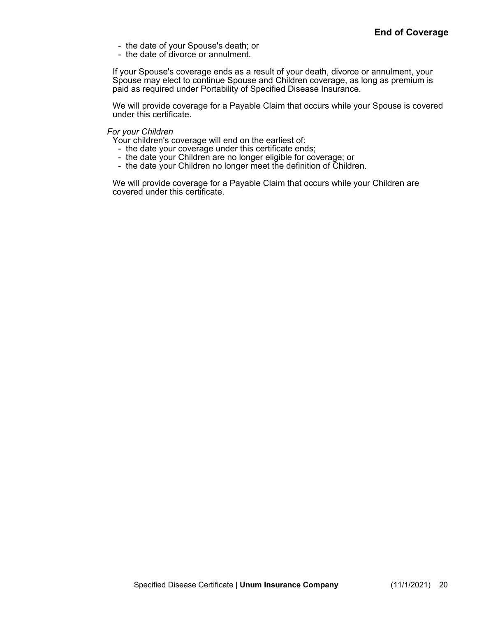- the date of your Spouse's death; or
- the date of divorce or annulment.

If your Spouse's coverage ends as a result of your death, divorce or annulment, your Spouse may elect to continue Spouse and Children coverage, as long as premium is paid as required under Portability of Specified Disease Insurance.

We will provide coverage for a Payable Claim that occurs while your Spouse is covered under this certificate.

#### *For your Children*

Your children's coverage will end on the earliest of:

- the date your coverage under this certificate ends;
- the date your Children are no longer eligible for coverage; or
- the date your Children no longer meet the definition of Children.

We will provide coverage for a Payable Claim that occurs while your Children are covered under this certificate.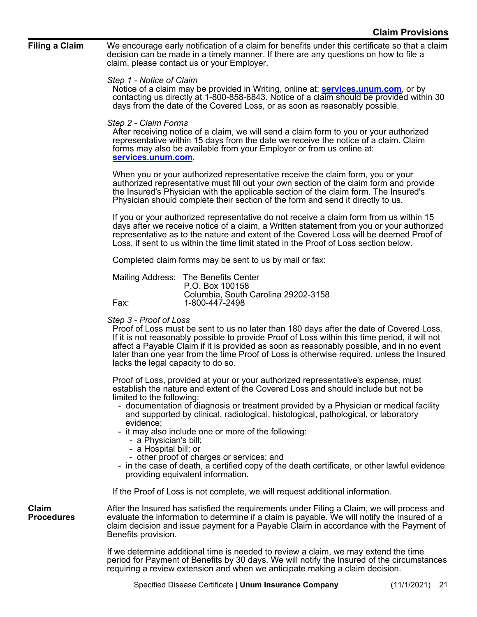**Filing a Claim** We encourage early notification of a claim for benefits under this certificate so that a claim decision can be made in a timely manner. If there are any questions on how to file a claim, please contact us or your Employer.

#### *Step 1 - Notice of Claim*

Notice of a claim may be provided in Writing, online at: **[services.unum.com](http://services.unum.com/)**, or by contacting us directly at 1-800-858-6843. Notice of a claim should be provided within 30 days from the date of the Covered Loss, or as soon as reasonably possible.

#### *Step 2 - Claim Forms*

After receiving notice of a claim, we will send a claim form to you or your authorized representative within 15 days from the date we receive the notice of a claim. Claim forms may also be available from your Employer or from us online at: **[services.unum.com](http://services.unum.com/)**.

When you or your authorized representative receive the claim form, you or your authorized representative must fill out your own section of the claim form and provide the Insured's Physician with the applicable section of the claim form. The Insured's Physician should complete their section of the form and send it directly to us.

If you or your authorized representative do not receive a claim form from us within 15 days after we receive notice of a claim, a Written statement from you or your authorized representative as to the nature and extent of the Covered Loss will be deemed Proof of Loss, if sent to us within the time limit stated in the Proof of Loss section below.

Completed claim forms may be sent to us by mail or fax:

|      | Mailing Address: The Benefits Center |
|------|--------------------------------------|
|      | P.O. Box 100158                      |
|      | Columbia, South Carolina 29202-3158  |
| Fax: | 1-800-447-2498                       |

#### *Step 3 - Proof of Loss*

Proof of Loss must be sent to us no later than 180 days after the date of Covered Loss. If it is not reasonably possible to provide Proof of Loss within this time period, it will not affect a Payable Claim if it is provided as soon as reasonably possible, and in no event later than one year from the time Proof of Loss is otherwise required, unless the Insured lacks the legal capacity to do so.

Proof of Loss, provided at your or your authorized representative's expense, must establish the nature and extent of the Covered Loss and should include but not be limited to the following:

- documentation of diagnosis or treatment provided by a Physician or medical facility and supported by clinical, radiological, histological, pathological, or laboratory evidence;
- it may also include one or more of the following:
	- a Physician's bill;
	- a Hospital bill; or
	- other proof of charges or services; and
- in the case of death, a certified copy of the death certificate, or other lawful evidence providing equivalent information.

If the Proof of Loss is not complete, we will request additional information.

**Claim Procedures** After the Insured has satisfied the requirements under Filing a Claim, we will process and evaluate the information to determine if a claim is payable. We will notify the Insured of a claim decision and issue payment for a Payable Claim in accordance with the Payment of Benefits provision.

If we determine additional time is needed to review a claim, we may extend the time period for Payment of Benefits by 30 days. We will notify the Insured of the circumstances requiring a review extension and when we anticipate making a claim decision.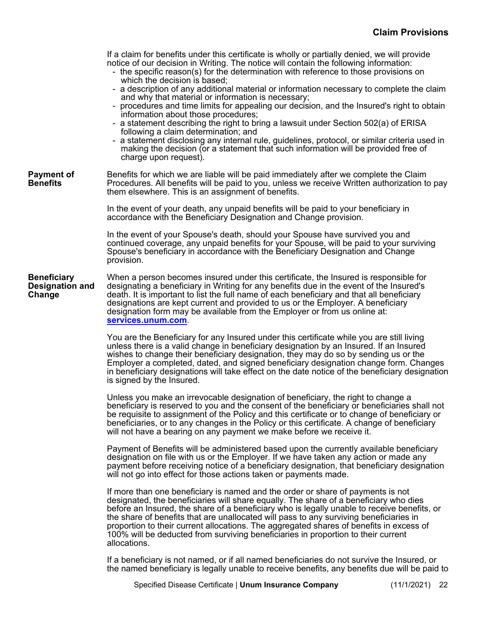If a claim for benefits under this certificate is wholly or partially denied, we will provide notice of our decision in Writing. The notice will contain the following information: - the specific reason(s) for the determination with reference to those provisions on which the decision is based; - a description of any additional material or information necessary to complete the claim and why that material or information is necessary; - procedures and time limits for appealing our decision, and the Insured's right to obtain information about those procedures; a statement describing the right to bring a lawsuit under Section 502(a) of ERISA following a claim determination; and a statement disclosing any internal rule, guidelines, protocol, or similar criteria used in making the decision (or a statement that such information will be provided free of charge upon request). **Payment of Benefits** Benefits for which we are liable will be paid immediately after we complete the Claim Procedures. All benefits will be paid to you, unless we receive Written authorization to pay them elsewhere. This is an assignment of benefits. In the event of your death, any unpaid benefits will be paid to your beneficiary in accordance with the Beneficiary Designation and Change provision. In the event of your Spouse's death, should your Spouse have survived you and continued coverage, any unpaid benefits for your Spouse, will be paid to your surviving Spouse's beneficiary in accordance with the Beneficiary Designation and Change provision. **Beneficiary Designation and Change** When a person becomes insured under this certificate, the Insured is responsible for designating a beneficiary in Writing for any benefits due in the event of the Insured's death. It is important to list the full name of each beneficiary and that all beneficiary designations are kept current and provided to us or the Employer. A beneficiary designation form may be available from the Employer or from us online at: **[services.unum.com](http://services.unum.com/)**. You are the Beneficiary for any Insured under this certificate while you are still living unless there is a valid change in beneficiary designation by an Insured. If an Insured wishes to change their beneficiary designation, they may do so by sending us or the Employer a completed, dated, and signed beneficiary designation change form. Changes in beneficiary designations will take effect on the date notice of the beneficiary designation is signed by the Insured. Unless you make an irrevocable designation of beneficiary, the right to change a beneficiary is reserved to you and the consent of the beneficiary or beneficiaries shall not be requisite to assignment of the Policy and this certificate or to change of beneficiary or beneficiaries, or to any changes in the Policy or this certificate. A change of beneficiary will not have a bearing on any payment we make before we receive it. Payment of Benefits will be administered based upon the currently available beneficiary designation on file with us or the Employer. If we have taken any action or made any payment before receiving notice of a beneficiary designation, that beneficiary designation will not go into effect for those actions taken or payments made. If more than one beneficiary is named and the order or share of payments is not designated, the beneficiaries will share equally. The share of a beneficiary who dies before an Insured, the share of a beneficiary who is legally unable to receive benefits, or the share of benefits that are unallocated will pass to any surviving beneficiaries in proportion to their current allocations. The aggregated shares of benefits in excess of 100% will be deducted from surviving beneficiaries in proportion to their current allocations.

If a beneficiary is not named, or if all named beneficiaries do not survive the Insured, or the named beneficiary is legally unable to receive benefits, any benefits due will be paid to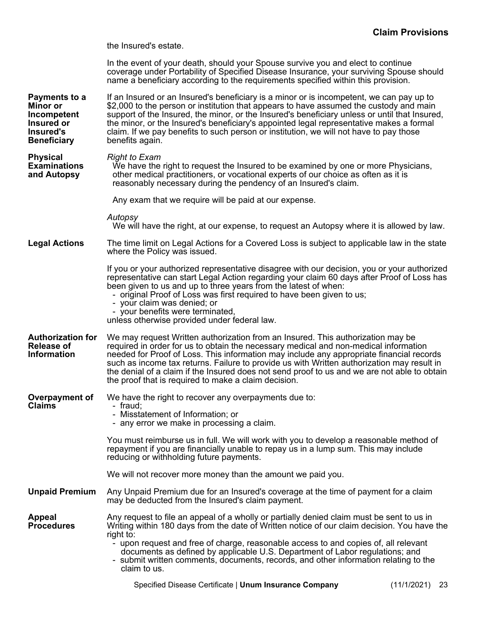the Insured's estate.

In the event of your death, should your Spouse survive you and elect to continue coverage under Portability of Specified Disease Insurance, your surviving Spouse should name a beneficiary according to the requirements specified within this provision.

| Payments to a<br><b>Minor or</b><br>Incompetent<br>Insured or<br>Insured's<br><b>Beneficiary</b> | If an Insured or an Insured's beneficiary is a minor or is incompetent, we can pay up to<br>\$2,000 to the person or institution that appears to have assumed the custody and main<br>support of the Insured, the minor, or the Insured's beneficiary unless or until that Insured,<br>the minor, or the Insured's beneficiary's appointed legal representative makes a formal<br>claim. If we pay benefits to such person or institution, we will not have to pay those<br>benefits again.                               |    |  |  |  |  |
|--------------------------------------------------------------------------------------------------|---------------------------------------------------------------------------------------------------------------------------------------------------------------------------------------------------------------------------------------------------------------------------------------------------------------------------------------------------------------------------------------------------------------------------------------------------------------------------------------------------------------------------|----|--|--|--|--|
| <b>Physical</b><br><b>Examinations</b><br>and Autopsy                                            | <b>Right to Exam</b><br>We have the right to request the Insured to be examined by one or more Physicians,<br>other medical practitioners, or vocational experts of our choice as often as it is<br>reasonably necessary during the pendency of an Insured's claim.                                                                                                                                                                                                                                                       |    |  |  |  |  |
|                                                                                                  | Any exam that we require will be paid at our expense.                                                                                                                                                                                                                                                                                                                                                                                                                                                                     |    |  |  |  |  |
|                                                                                                  | Autopsy<br>We will have the right, at our expense, to request an Autopsy where it is allowed by law.                                                                                                                                                                                                                                                                                                                                                                                                                      |    |  |  |  |  |
| <b>Legal Actions</b>                                                                             | The time limit on Legal Actions for a Covered Loss is subject to applicable law in the state<br>where the Policy was issued.                                                                                                                                                                                                                                                                                                                                                                                              |    |  |  |  |  |
|                                                                                                  | If you or your authorized representative disagree with our decision, you or your authorized<br>representative can start Legal Action regarding your claim 60 days after Proof of Loss has<br>been given to us and up to three years from the latest of when:<br>- original Proof of Loss was first required to have been given to us;<br>- your claim was denied; or<br>- your benefits were terminated,<br>unless otherwise provided under federal law.                                                                  |    |  |  |  |  |
| <b>Authorization for</b><br><b>Release of</b><br><b>Information</b>                              | We may request Written authorization from an Insured. This authorization may be<br>required in order for us to obtain the necessary medical and non-medical information<br>needed for Proof of Loss. This information may include any appropriate financial records<br>such as income tax returns. Failure to provide us with Written authorization may result in<br>the denial of a claim if the Insured does not send proof to us and we are not able to obtain<br>the proof that is required to make a claim decision. |    |  |  |  |  |
| Overpayment of<br><b>Claims</b>                                                                  | We have the right to recover any overpayments due to:<br>- fraud:<br>- Misstatement of Information; or<br>- any error we make in processing a claim.                                                                                                                                                                                                                                                                                                                                                                      |    |  |  |  |  |
|                                                                                                  | You must reimburse us in full. We will work with you to develop a reasonable method of<br>repayment if you are financially unable to repay us in a lump sum. This may include<br>reducing or withholding future payments.                                                                                                                                                                                                                                                                                                 |    |  |  |  |  |
|                                                                                                  | We will not recover more money than the amount we paid you.                                                                                                                                                                                                                                                                                                                                                                                                                                                               |    |  |  |  |  |
| <b>Unpaid Premium</b>                                                                            | Any Unpaid Premium due for an Insured's coverage at the time of payment for a claim<br>may be deducted from the Insured's claim payment.                                                                                                                                                                                                                                                                                                                                                                                  |    |  |  |  |  |
| <b>Appeal</b><br><b>Procedures</b>                                                               | Any request to file an appeal of a wholly or partially denied claim must be sent to us in<br>Writing within 180 days from the date of Written notice of our claim decision. You have the<br>right to:<br>- upon request and free of charge, reasonable access to and copies of, all relevant<br>documents as defined by applicable U.S. Department of Labor regulations; and<br>- submit written comments, documents, records, and other information relating to the<br>claim to us.                                      |    |  |  |  |  |
|                                                                                                  | Specified Disease Certificate   Unum Insurance Company<br>(11/1/2021)                                                                                                                                                                                                                                                                                                                                                                                                                                                     | 23 |  |  |  |  |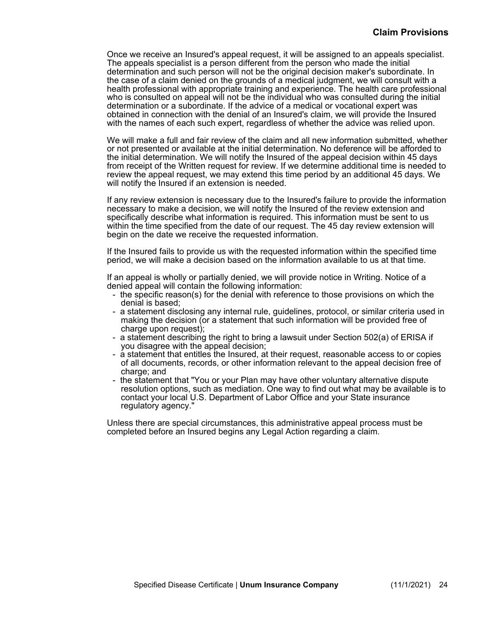Once we receive an Insured's appeal request, it will be assigned to an appeals specialist. The appeals specialist is a person different from the person who made the initial determination and such person will not be the original decision maker's subordinate. In the case of a claim denied on the grounds of a medical judgment, we will consult with a health professional with appropriate training and experience. The health care professional who is consulted on appeal will not be the individual who was consulted during the initial determination or a subordinate. If the advice of a medical or vocational expert was obtained in connection with the denial of an Insured's claim, we will provide the Insured with the names of each such expert, regardless of whether the advice was relied upon.

We will make a full and fair review of the claim and all new information submitted, whether or not presented or available at the initial determination. No deference will be afforded to the initial determination. We will notify the Insured of the appeal decision within 45 days from receipt of the Written request for review. If we determine additional time is needed to review the appeal request, we may extend this time period by an additional 45 days. We will notify the Insured if an extension is needed.

If any review extension is necessary due to the Insured's failure to provide the information necessary to make a decision, we will notify the Insured of the review extension and specifically describe what information is required. This information must be sent to us within the time specified from the date of our request. The 45 day review extension will begin on the date we receive the requested information.

If the Insured fails to provide us with the requested information within the specified time period, we will make a decision based on the information available to us at that time.

If an appeal is wholly or partially denied, we will provide notice in Writing. Notice of a denied appeal will contain the following information:

- the specific reason(s) for the denial with reference to those provisions on which the denial is based;
- a statement disclosing any internal rule, guidelines, protocol, or similar criteria used in making the decision (or a statement that such information will be provided free of charge upon request);
- a statement describing the right to bring a lawsuit under Section 502(a) of ERISA if you disagree with the appeal decision;
- a statement that entitles the Insured, at their request, reasonable access to or copies of all documents, records, or other information relevant to the appeal decision free of charge; and
- the statement that "You or your Plan may have other voluntary alternative dispute resolution options, such as mediation. One way to find out what may be available is to contact your local U.S. Department of Labor Office and your State insurance regulatory agency."

Unless there are special circumstances, this administrative appeal process must be completed before an Insured begins any Legal Action regarding a claim.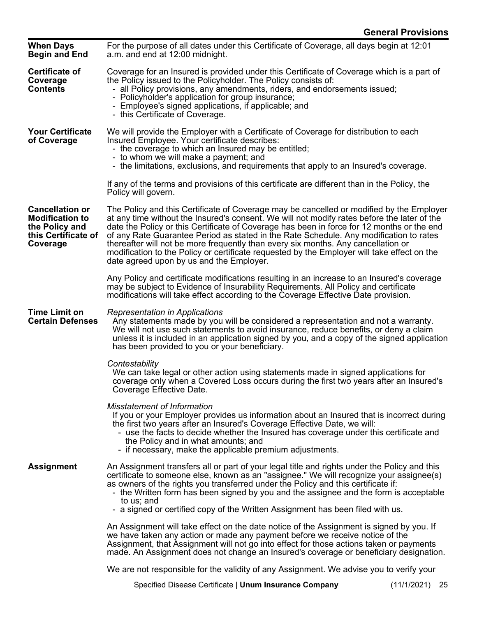| <b>When Days</b><br><b>Begin and End</b>                                                              | For the purpose of all dates under this Certificate of Coverage, all days begin at 12:01<br>a.m. and end at 12:00 midnight.                                                                                                                                                                                                                                                                                                                                           |                                                                                                                                                                                                                                                                                       |  |  |  |
|-------------------------------------------------------------------------------------------------------|-----------------------------------------------------------------------------------------------------------------------------------------------------------------------------------------------------------------------------------------------------------------------------------------------------------------------------------------------------------------------------------------------------------------------------------------------------------------------|---------------------------------------------------------------------------------------------------------------------------------------------------------------------------------------------------------------------------------------------------------------------------------------|--|--|--|
| <b>Certificate of</b><br>Coverage<br>Contents                                                         | Coverage for an Insured is provided under this Certificate of Coverage which is a part of<br>the Policy issued to the Policyholder. The Policy consists of:<br>- all Policy provisions, any amendments, riders, and endorsements issued;<br>- Policyholder's application for group insurance;<br>- Employee's signed applications, if applicable; and<br>- this Certificate of Coverage.                                                                              |                                                                                                                                                                                                                                                                                       |  |  |  |
| <b>Your Certificate</b><br>of Coverage                                                                | We will provide the Employer with a Certificate of Coverage for distribution to each<br>Insured Employee. Your certificate describes:<br>- the coverage to which an Insured may be entitled;<br>- to whom we will make a payment; and<br>- the limitations, exclusions, and requirements that apply to an Insured's coverage.                                                                                                                                         |                                                                                                                                                                                                                                                                                       |  |  |  |
|                                                                                                       | If any of the terms and provisions of this certificate are different than in the Policy, the<br>Policy will govern.                                                                                                                                                                                                                                                                                                                                                   |                                                                                                                                                                                                                                                                                       |  |  |  |
| <b>Cancellation or</b><br><b>Modification to</b><br>the Policy and<br>this Certificate of<br>Coverage | of any Rate Guarantee Period as stated in the Rate Schedule. Any modification to rates<br>thereafter will not be more frequently than every six months. Any cancellation or<br>modification to the Policy or certificate requested by the Employer will take effect on the<br>date agreed upon by us and the Employer.                                                                                                                                                | The Policy and this Certificate of Coverage may be cancelled or modified by the Employer<br>at any time without the Insured's consent. We will not modify rates before the later of the<br>date the Policy or this Certificate of Coverage has been in force for 12 months or the end |  |  |  |
|                                                                                                       | Any Policy and certificate modifications resulting in an increase to an Insured's coverage<br>may be subject to Evidence of Insurability Requirements. All Policy and certificate<br>modifications will take effect according to the Coverage Effective Date provision.                                                                                                                                                                                               |                                                                                                                                                                                                                                                                                       |  |  |  |
| <b>Time Limit on</b><br><b>Certain Defenses</b>                                                       | Representation in Applications<br>Any statements made by you will be considered a representation and not a warranty.<br>We will not use such statements to avoid insurance, reduce benefits, or deny a claim<br>unless it is included in an application signed by you, and a copy of the signed application<br>has been provided to you or your beneficiary.                                                                                                          |                                                                                                                                                                                                                                                                                       |  |  |  |
|                                                                                                       | Contestability<br>We can take legal or other action using statements made in signed applications for<br>coverage only when a Covered Loss occurs during the first two years after an Insured's<br>Coverage Effective Date.                                                                                                                                                                                                                                            |                                                                                                                                                                                                                                                                                       |  |  |  |
|                                                                                                       | <b>Misstatement of Information</b><br>If you or your Employer provides us information about an Insured that is incorrect during<br>the first two years after an Insured's Coverage Effective Date, we will:<br>- use the facts to decide whether the Insured has coverage under this certificate and<br>the Policy and in what amounts; and<br>- if necessary, make the applicable premium adjustments.                                                               |                                                                                                                                                                                                                                                                                       |  |  |  |
| <b>Assignment</b>                                                                                     | An Assignment transfers all or part of your legal title and rights under the Policy and this<br>certificate to someone else, known as an "assignee." We will recognize your assignee(s)<br>as owners of the rights you transferred under the Policy and this certificate if:<br>- the Written form has been signed by you and the assignee and the form is acceptable<br>to us; and<br>- a signed or certified copy of the Written Assignment has been filed with us. |                                                                                                                                                                                                                                                                                       |  |  |  |
|                                                                                                       | An Assignment will take effect on the date notice of the Assignment is signed by you. If<br>we have taken any action or made any payment before we receive notice of the<br>Assignment, that Assignment will not go into effect for those actions taken or payments<br>made. An Assignment does not change an Insured's coverage or beneficiary designation.                                                                                                          |                                                                                                                                                                                                                                                                                       |  |  |  |
|                                                                                                       | We are not responsible for the validity of any Assignment. We advise you to verify your                                                                                                                                                                                                                                                                                                                                                                               |                                                                                                                                                                                                                                                                                       |  |  |  |
|                                                                                                       | Specified Disease Certificate   Unum Insurance Company                                                                                                                                                                                                                                                                                                                                                                                                                | $(11/1/2021)$ 25                                                                                                                                                                                                                                                                      |  |  |  |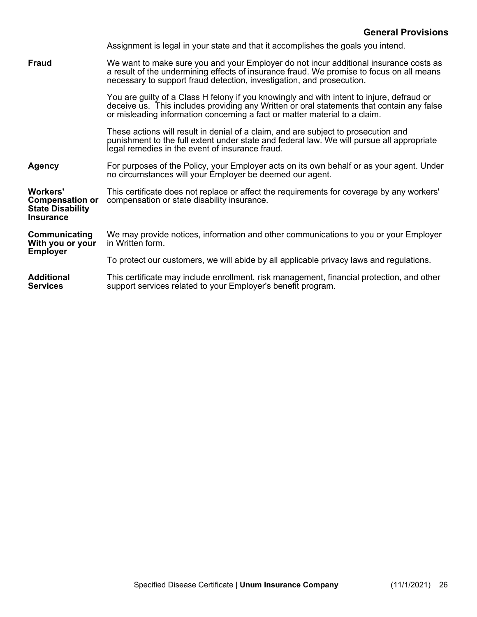|                                                                                          | Assignment is legal in your state and that it accomplishes the goals you intend.                                                                                                                                                                                     |
|------------------------------------------------------------------------------------------|----------------------------------------------------------------------------------------------------------------------------------------------------------------------------------------------------------------------------------------------------------------------|
| <b>Fraud</b>                                                                             | We want to make sure you and your Employer do not incur additional insurance costs as<br>a result of the undermining effects of insurance fraud. We promise to focus on all means<br>necessary to support fraud detection, investigation, and prosecution.           |
|                                                                                          | You are guilty of a Class H felony if you knowingly and with intent to injure, defraud or<br>deceive us. This includes providing any Written or oral statements that contain any false<br>or misleading information concerning a fact or matter material to a claim. |
|                                                                                          | These actions will result in denial of a claim, and are subject to prosecution and<br>punishment to the full extent under state and federal law. We will pursue all appropriate<br>legal remedies in the event of insurance fraud.                                   |
| <b>Agency</b>                                                                            | For purposes of the Policy, your Employer acts on its own behalf or as your agent. Under<br>no circumstances will your Employer be deemed our agent.                                                                                                                 |
| <b>Workers'</b><br><b>Compensation or</b><br><b>State Disability</b><br><b>Insurance</b> | This certificate does not replace or affect the requirements for coverage by any workers'<br>compensation or state disability insurance.                                                                                                                             |
| Communicating<br>With you or your<br><b>Employer</b>                                     | We may provide notices, information and other communications to you or your Employer<br>in Written form.                                                                                                                                                             |
|                                                                                          | To protect our customers, we will abide by all applicable privacy laws and regulations.                                                                                                                                                                              |
| <b>Additional</b><br><b>Services</b>                                                     | This certificate may include enrollment, risk management, financial protection, and other<br>support services related to your Employer's benefit program.                                                                                                            |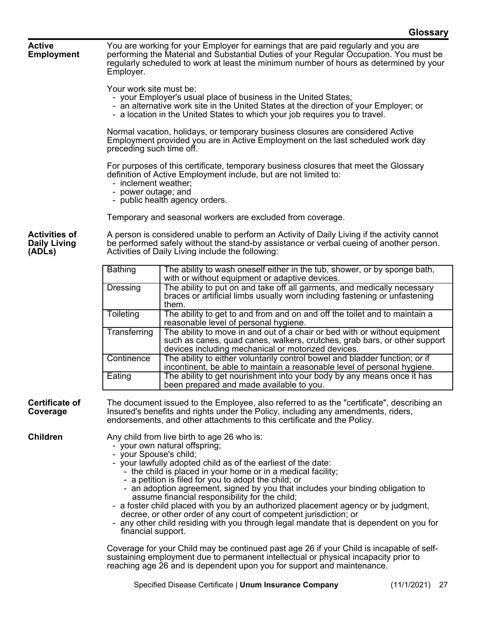|                                                       |                                                                                                                                               | UIUSSAI Y                                                                                                                                                                                                                                                                                                                                                                                                                                                                                                                                                                                                                                                                                                       |  |  |  |  |
|-------------------------------------------------------|-----------------------------------------------------------------------------------------------------------------------------------------------|-----------------------------------------------------------------------------------------------------------------------------------------------------------------------------------------------------------------------------------------------------------------------------------------------------------------------------------------------------------------------------------------------------------------------------------------------------------------------------------------------------------------------------------------------------------------------------------------------------------------------------------------------------------------------------------------------------------------|--|--|--|--|
| <b>Active</b><br><b>Employment</b>                    | Employer.                                                                                                                                     | You are working for your Employer for earnings that are paid regularly and you are<br>performing the Material and Substantial Duties of your Regular Occupation. You must be<br>regularly scheduled to work at least the minimum number of hours as determined by your                                                                                                                                                                                                                                                                                                                                                                                                                                          |  |  |  |  |
|                                                       |                                                                                                                                               | Your work site must be:<br>- your Employer's usual place of business in the United States;<br>- an alternative work site in the United States at the direction of your Employer; or<br>- a location in the United States to which your job requires you to travel.                                                                                                                                                                                                                                                                                                                                                                                                                                              |  |  |  |  |
|                                                       | preceding such time off.                                                                                                                      | Normal vacation, holidays, or temporary business closures are considered Active<br>Employment provided you are in Active Employment on the last scheduled work day                                                                                                                                                                                                                                                                                                                                                                                                                                                                                                                                              |  |  |  |  |
|                                                       |                                                                                                                                               | For purposes of this certificate, temporary business closures that meet the Glossary<br>definition of Active Employment include, but are not limited to:<br>- inclement weather:<br>- power outage; and<br>- public health agency orders.                                                                                                                                                                                                                                                                                                                                                                                                                                                                       |  |  |  |  |
|                                                       |                                                                                                                                               | Temporary and seasonal workers are excluded from coverage.                                                                                                                                                                                                                                                                                                                                                                                                                                                                                                                                                                                                                                                      |  |  |  |  |
| <b>Activities of</b><br><b>Daily Living</b><br>(ADLs) |                                                                                                                                               | A person is considered unable to perform an Activity of Daily Living if the activity cannot<br>be performed safely without the stand-by assistance or verbal cueing of another person.<br>Activities of Daily Living include the following:                                                                                                                                                                                                                                                                                                                                                                                                                                                                     |  |  |  |  |
|                                                       | <b>Bathing</b><br>The ability to wash oneself either in the tub, shower, or by sponge bath,<br>with or without equipment or adaptive devices. |                                                                                                                                                                                                                                                                                                                                                                                                                                                                                                                                                                                                                                                                                                                 |  |  |  |  |
|                                                       | Dressing                                                                                                                                      | The ability to put on and take off all garments, and medically necessary<br>braces or artificial limbs usually worn including fastening or unfastening<br>them.                                                                                                                                                                                                                                                                                                                                                                                                                                                                                                                                                 |  |  |  |  |
|                                                       | Toileting                                                                                                                                     | The ability to get to and from and on and off the toilet and to maintain a<br>reasonable level of personal hygiene.                                                                                                                                                                                                                                                                                                                                                                                                                                                                                                                                                                                             |  |  |  |  |
|                                                       | Transferring                                                                                                                                  | The ability to move in and out of a chair or bed with or without equipment<br>such as canes, quad canes, walkers, crutches, grab bars, or other support<br>devices including mechanical or motorized devices.                                                                                                                                                                                                                                                                                                                                                                                                                                                                                                   |  |  |  |  |
|                                                       | Continence                                                                                                                                    | The ability to either voluntarily control bowel and bladder function; or if<br>incontinent, be able to maintain a reasonable level of personal hygiene.                                                                                                                                                                                                                                                                                                                                                                                                                                                                                                                                                         |  |  |  |  |
|                                                       | Eating                                                                                                                                        | The ability to get nourishment into your body by any means once it has<br>been prepared and made available to you.                                                                                                                                                                                                                                                                                                                                                                                                                                                                                                                                                                                              |  |  |  |  |
| <b>Certificate of</b><br>Coverage                     |                                                                                                                                               | The document issued to the Employee, also referred to as the "certificate", describing an<br>Insured's benefits and rights under the Policy, including any amendments, riders,<br>endorsements, and other attachments to this certificate and the Policy.                                                                                                                                                                                                                                                                                                                                                                                                                                                       |  |  |  |  |
| <b>Children</b>                                       |                                                                                                                                               | Any child from live birth to age 26 who is:<br>- your own natural offspring;<br>- your Spouse's child;<br>- your lawfully adopted child as of the earliest of the date:<br>- the child is placed in your home or in a medical facility;<br>- a petition is filed for you to adopt the child; or<br>- an adoption agreement, signed by you that includes your binding obligation to<br>assume financial responsibility for the child;<br>- a foster child placed with you by an authorized placement agency or by judgment,<br>decree, or other order of any court of competent jurisdiction; or<br>- any other child residing with you through legal mandate that is dependent on you for<br>financial support. |  |  |  |  |
|                                                       |                                                                                                                                               | Coverage for your Child may be continued nast ago 26 if your Child is incapable of solf                                                                                                                                                                                                                                                                                                                                                                                                                                                                                                                                                                                                                         |  |  |  |  |

Coverage for your Child may be continued past age 26 if your Child is incapable of selfsustaining employment due to permanent intellectual or physical incapacity prior to reaching age 26 and is dependent upon you for support and maintenance.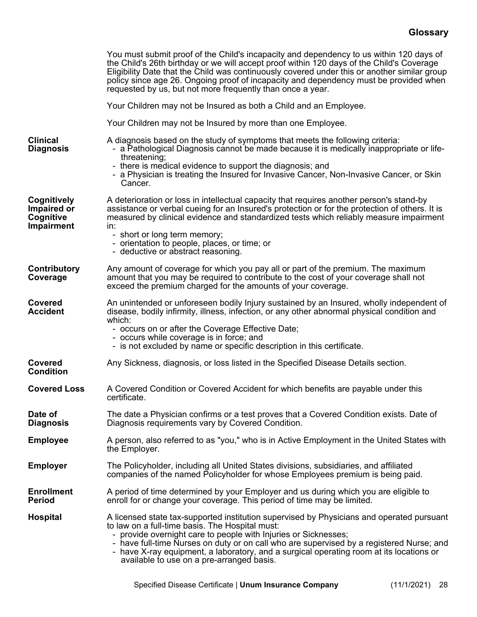|                                                                     | You must submit proof of the Child's incapacity and dependency to us within 120 days of<br>the Child's 26th birthday or we will accept proof within 120 days of the Child's Coverage<br>Eligibility Date that the Child was continuously covered under this or another similar group<br>policy since age 26. Ongoing proof of incapacity and dependency must be provided when<br>requested by us, but not more frequently than once a year.         |
|---------------------------------------------------------------------|-----------------------------------------------------------------------------------------------------------------------------------------------------------------------------------------------------------------------------------------------------------------------------------------------------------------------------------------------------------------------------------------------------------------------------------------------------|
|                                                                     | Your Children may not be Insured as both a Child and an Employee.                                                                                                                                                                                                                                                                                                                                                                                   |
|                                                                     | Your Children may not be Insured by more than one Employee.                                                                                                                                                                                                                                                                                                                                                                                         |
| <b>Clinical</b><br><b>Diagnosis</b>                                 | A diagnosis based on the study of symptoms that meets the following criteria:<br>- a Pathological Diagnosis cannot be made because it is medically inappropriate or life-<br>threatening;<br>- there is medical evidence to support the diagnosis; and<br>- a Physician is treating the Insured for Invasive Cancer, Non-Invasive Cancer, or Skin<br>Cancer.                                                                                        |
| <b>Cognitively</b><br>Impaired or<br>Cognitive<br><b>Impairment</b> | A deterioration or loss in intellectual capacity that requires another person's stand-by<br>assistance or verbal cueing for an Insured's protection or for the protection of others. It is<br>measured by clinical evidence and standardized tests which reliably measure impairment<br>in:<br>- short or long term memory;<br>- orientation to people, places, or time; or<br>- deductive or abstract reasoning.                                   |
| Contributory<br>Coverage                                            | Any amount of coverage for which you pay all or part of the premium. The maximum<br>amount that you may be required to contribute to the cost of your coverage shall not<br>exceed the premium charged for the amounts of your coverage.                                                                                                                                                                                                            |
| Covered<br><b>Accident</b>                                          | An unintended or unforeseen bodily Injury sustained by an Insured, wholly independent of<br>disease, bodily infirmity, illness, infection, or any other abnormal physical condition and<br>which:<br>- occurs on or after the Coverage Effective Date;<br>- occurs while coverage is in force; and<br>- is not excluded by name or specific description in this certificate.                                                                        |
| <b>Covered</b><br><b>Condition</b>                                  | Any Sickness, diagnosis, or loss listed in the Specified Disease Details section.                                                                                                                                                                                                                                                                                                                                                                   |
| <b>Covered Loss</b>                                                 | A Covered Condition or Covered Accident for which benefits are payable under this<br>certificate.                                                                                                                                                                                                                                                                                                                                                   |
| Date of<br><b>Diagnosis</b>                                         | The date a Physician confirms or a test proves that a Covered Condition exists. Date of<br>Diagnosis requirements vary by Covered Condition.                                                                                                                                                                                                                                                                                                        |
| <b>Employee</b>                                                     | A person, also referred to as "you," who is in Active Employment in the United States with<br>the Employer.                                                                                                                                                                                                                                                                                                                                         |
| <b>Employer</b>                                                     | The Policyholder, including all United States divisions, subsidiaries, and affiliated<br>companies of the named Policyholder for whose Employees premium is being paid.                                                                                                                                                                                                                                                                             |
| <b>Enrollment</b><br><b>Period</b>                                  | A period of time determined by your Employer and us during which you are eligible to<br>enroll for or change your coverage. This period of time may be limited.                                                                                                                                                                                                                                                                                     |
| <b>Hospital</b>                                                     | A licensed state tax-supported institution supervised by Physicians and operated pursuant<br>to law on a full-time basis. The Hospital must:<br>- provide overnight care to people with Injuries or Sicknesses;<br>- have full-time Nurses on duty or on call who are supervised by a registered Nurse; and<br>- have X-ray equipment, a laboratory, and a surgical operating room at its locations or<br>available to use on a pre-arranged basis. |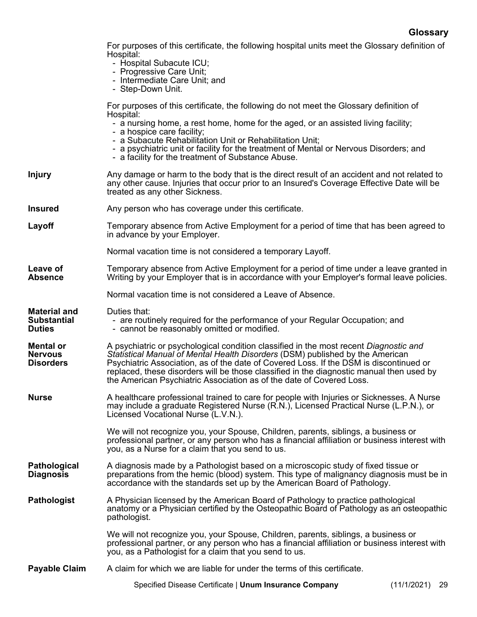For purposes of this certificate, the following hospital units meet the Glossary definition of Hospital:

- Hospital Subacute ICU;
- Progressive Care Unit;
- Intermediate Care Unit; and
- Step-Down Unit.

For purposes of this certificate, the following do not meet the Glossary definition of Hospital:

- a nursing home, a rest home, home for the aged, or an assisted living facility;
- a hospice care facility;
- a Subacute Rehabilitation Unit or Rehabilitation Unit;
- a psychiatric unit or facility for the treatment of Mental or Nervous Disorders; and
- a facility for the treatment of Substance Abuse.
- **Injury** Any damage or harm to the body that is the direct result of an accident and not related to any other cause. Injuries that occur prior to an Insured's Coverage Effective Date will be treated as any other Sickness.
- **Insured** Any person who has coverage under this certificate.

Duties that:

- **Layoff** Temporary absence from Active Employment for a period of time that has been agreed to in advance by your Employer.
	- Normal vacation time is not considered a temporary Layoff.
- **Leave of Absence** Temporary absence from Active Employment for a period of time under a leave granted in Writing by your Employer that is in accordance with your Employer's formal leave policies.
	- Normal vacation time is not considered a Leave of Absence.

**Material and** 

- **Substantial Duties**  - are routinely required for the performance of your Regular Occupation; and - cannot be reasonably omitted or modified.
- **Mental or Nervous Disorders** A psychiatric or psychological condition classified in the most recent *Diagnostic and Statistical Manual of Mental Health Disorders* (DSM) published by the American Psychiatric Association, as of the date of Covered Loss. If the DSM is discontinued or replaced, these disorders will be those classified in the diagnostic manual then used by the American Psychiatric Association as of the date of Covered Loss.
- **Nurse** A healthcare professional trained to care for people with Injuries or Sicknesses. A Nurse may include a graduate Registered Nurse (R.N.), Licensed Practical Nurse (L.P.N.), or Licensed Vocational Nurse (L.V.N.).
	- We will not recognize you, your Spouse, Children, parents, siblings, a business or professional partner, or any person who has a financial affiliation or business interest with you, as a Nurse for a claim that you send to us.

**Pathological Diagnosis** A diagnosis made by a Pathologist based on a microscopic study of fixed tissue or preparations from the hemic (blood) system. This type of malignancy diagnosis must be in accordance with the standards set up by the American Board of Pathology.

**Pathologist** A Physician licensed by the American Board of Pathology to practice pathological anatomy or a Physician certified by the Osteopathic Board of Pathology as an osteopathic pathologist.

> We will not recognize you, your Spouse, Children, parents, siblings, a business or professional partner, or any person who has a financial affiliation or business interest with you, as a Pathologist for a claim that you send to us.

**Payable Claim** A claim for which we are liable for under the terms of this certificate.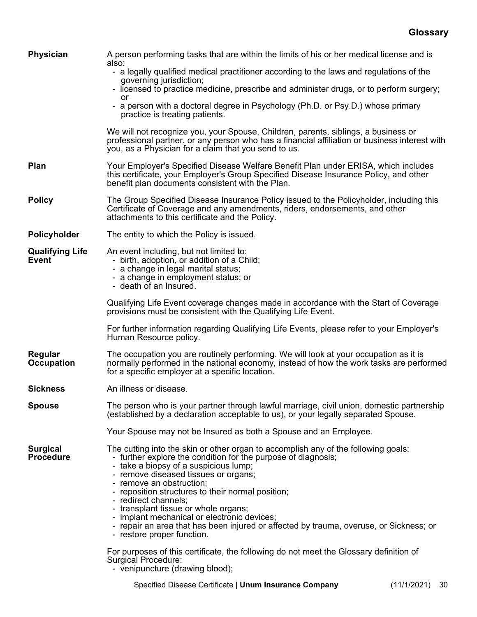| <b>Physician</b>                                                                                                                                                                                                                        | A person performing tasks that are within the limits of his or her medical license and is<br>also:<br>- a legally qualified medical practitioner according to the laws and regulations of the                                                                                                                                                                                                                                                                                                                                                                |  |  |  |  |
|-----------------------------------------------------------------------------------------------------------------------------------------------------------------------------------------------------------------------------------------|--------------------------------------------------------------------------------------------------------------------------------------------------------------------------------------------------------------------------------------------------------------------------------------------------------------------------------------------------------------------------------------------------------------------------------------------------------------------------------------------------------------------------------------------------------------|--|--|--|--|
|                                                                                                                                                                                                                                         | governing jurisdiction;<br>- licensed to practice medicine, prescribe and administer drugs, or to perform surgery;                                                                                                                                                                                                                                                                                                                                                                                                                                           |  |  |  |  |
|                                                                                                                                                                                                                                         | or<br>- a person with a doctoral degree in Psychology (Ph.D. or Psy.D.) whose primary<br>practice is treating patients.                                                                                                                                                                                                                                                                                                                                                                                                                                      |  |  |  |  |
|                                                                                                                                                                                                                                         | We will not recognize you, your Spouse, Children, parents, siblings, a business or<br>professional partner, or any person who has a financial affiliation or business interest with<br>you, as a Physician for a claim that you send to us.                                                                                                                                                                                                                                                                                                                  |  |  |  |  |
| Plan                                                                                                                                                                                                                                    | Your Employer's Specified Disease Welfare Benefit Plan under ERISA, which includes<br>this certificate, your Employer's Group Specified Disease Insurance Policy, and other<br>benefit plan documents consistent with the Plan.                                                                                                                                                                                                                                                                                                                              |  |  |  |  |
| <b>Policy</b>                                                                                                                                                                                                                           | The Group Specified Disease Insurance Policy issued to the Policyholder, including this<br>Certificate of Coverage and any amendments, riders, endorsements, and other<br>attachments to this certificate and the Policy.                                                                                                                                                                                                                                                                                                                                    |  |  |  |  |
| Policyholder                                                                                                                                                                                                                            | The entity to which the Policy is issued.                                                                                                                                                                                                                                                                                                                                                                                                                                                                                                                    |  |  |  |  |
| An event including, but not limited to:<br><b>Qualifying Life</b><br><b>Event</b><br>- birth, adoption, or addition of a Child;<br>- a change in legal marital status;<br>- a change in employment status; or<br>- death of an Insured. |                                                                                                                                                                                                                                                                                                                                                                                                                                                                                                                                                              |  |  |  |  |
|                                                                                                                                                                                                                                         | Qualifying Life Event coverage changes made in accordance with the Start of Coverage<br>provisions must be consistent with the Qualifying Life Event.                                                                                                                                                                                                                                                                                                                                                                                                        |  |  |  |  |
|                                                                                                                                                                                                                                         | For further information regarding Qualifying Life Events, please refer to your Employer's<br>Human Resource policy.                                                                                                                                                                                                                                                                                                                                                                                                                                          |  |  |  |  |
| Regular<br><b>Occupation</b>                                                                                                                                                                                                            | The occupation you are routinely performing. We will look at your occupation as it is<br>normally performed in the national economy, instead of how the work tasks are performed<br>for a specific employer at a specific location.                                                                                                                                                                                                                                                                                                                          |  |  |  |  |
| <b>Sickness</b>                                                                                                                                                                                                                         | An illness or disease.                                                                                                                                                                                                                                                                                                                                                                                                                                                                                                                                       |  |  |  |  |
| <b>Spouse</b>                                                                                                                                                                                                                           | The person who is your partner through lawful marriage, civil union, domestic partnership<br>(established by a declaration acceptable to us), or your legally separated Spouse.                                                                                                                                                                                                                                                                                                                                                                              |  |  |  |  |
|                                                                                                                                                                                                                                         | Your Spouse may not be Insured as both a Spouse and an Employee.                                                                                                                                                                                                                                                                                                                                                                                                                                                                                             |  |  |  |  |
| <b>Surgical</b><br><b>Procedure</b>                                                                                                                                                                                                     | The cutting into the skin or other organ to accomplish any of the following goals:<br>- further explore the condition for the purpose of diagnosis;<br>- take a biopsy of a suspicious lump;<br>- remove diseased tissues or organs;<br>- remove an obstruction;<br>- reposition structures to their normal position;<br>- redirect channels;<br>- transplant tissue or whole organs;<br>- implant mechanical or electronic devices;<br>- repair an area that has been injured or affected by trauma, overuse, or Sickness; or<br>- restore proper function. |  |  |  |  |
|                                                                                                                                                                                                                                         | For purposes of this certificate, the following do not meet the Glossary definition of<br>Surgical Procedure:                                                                                                                                                                                                                                                                                                                                                                                                                                                |  |  |  |  |

- venipuncture (drawing blood);

Specified Disease Certificate | **Unum Insurance Company** (11/1/2021) 30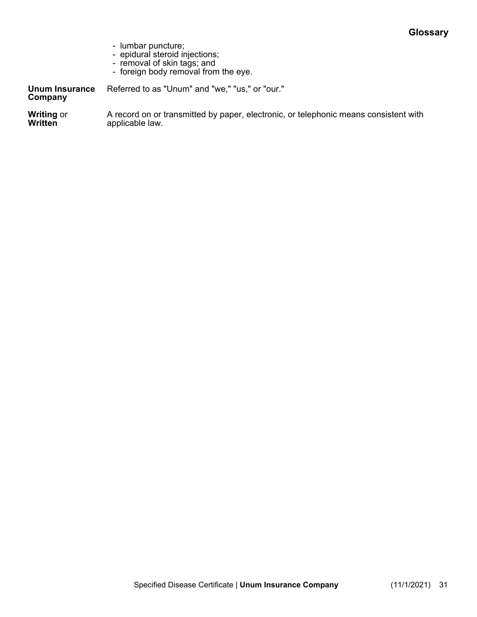- lumbar puncture;
- epidural steroid injections;
- removal of skin tags; and
- foreign body removal from the eye.

**Unum Insurance**  Referred to as "Unum" and "we," "us," or "our."

# **Company**

**Writing** or **Written** A record on or transmitted by paper, electronic, or telephonic means consistent with applicable law.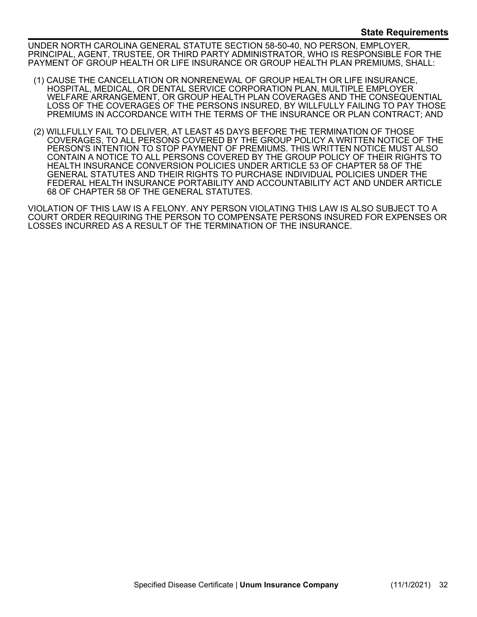UNDER NORTH CAROLINA GENERAL STATUTE SECTION 58-50-40, NO PERSON, EMPLOYER, PRINCIPAL, AGENT, TRUSTEE, OR THIRD PARTY ADMINISTRATOR, WHO IS RESPONSIBLE FOR THE PAYMENT OF GROUP HEALTH OR LIFE INSURANCE OR GROUP HEALTH PLAN PREMIUMS, SHALL:

- (1) CAUSE THE CANCELLATION OR NONRENEWAL OF GROUP HEALTH OR LIFE INSURANCE, HOSPITAL, MEDICAL, OR DENTAL SERVICE CORPORATION PLAN, MULTIPLE EMPLOYER WELFARE ARRANGEMENT, OR GROUP HEALTH PLAN COVERAGES AND THE CONSEQUENTIAL LOSS OF THE COVERAGES OF THE PERSONS INSURED, BY WILLFULLY FAILING TO PAY THOSE PREMIUMS IN ACCORDANCE WITH THE TERMS OF THE INSURANCE OR PLAN CONTRACT; AND
- (2) WILLFULLY FAIL TO DELIVER, AT LEAST 45 DAYS BEFORE THE TERMINATION OF THOSE COVERAGES, TO ALL PERSONS COVERED BY THE GROUP POLICY A WRITTEN NOTICE OF THE PERSON'S INTENTION TO STOP PAYMENT OF PREMIUMS. THIS WRITTEN NOTICE MUST ALSO CONTAIN A NOTICE TO ALL PERSONS COVERED BY THE GROUP POLICY OF THEIR RIGHTS TO HEALTH INSURANCE CONVERSION POLICIES UNDER ARTICLE 53 OF CHAPTER 58 OF THE GENERAL STATUTES AND THEIR RIGHTS TO PURCHASE INDIVIDUAL POLICIES UNDER THE FEDERAL HEALTH INSURANCE PORTABILITY AND ACCOUNTABILITY ACT AND UNDER ARTICLE 68 OF CHAPTER 58 OF THE GENERAL STATUTES.

VIOLATION OF THIS LAW IS A FELONY. ANY PERSON VIOLATING THIS LAW IS ALSO SUBJECT TO A COURT ORDER REQUIRING THE PERSON TO COMPENSATE PERSONS INSURED FOR EXPENSES OR LOSSES INCURRED AS A RESULT OF THE TERMINATION OF THE INSURANCE.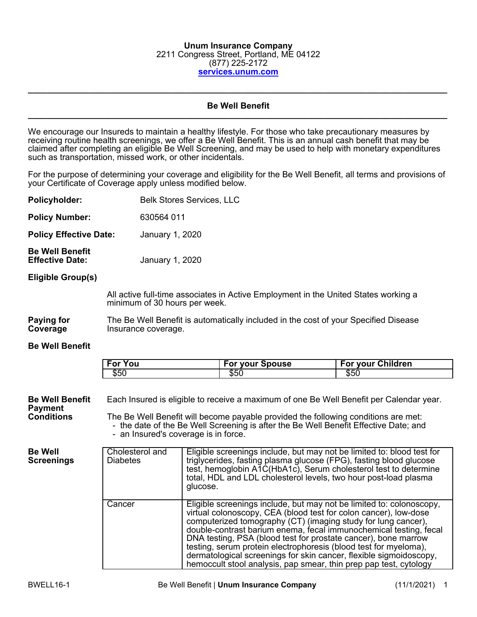#### **Unum Insurance Company** 2211 Congress Street, Portland, ME 04122 (877) 225-2172 **[services.unum.com](http://services.unum.com/)**

#### **Be Well Benefit \_\_\_\_\_\_\_\_\_\_\_\_\_\_\_\_\_\_\_\_\_\_\_\_\_\_\_\_\_\_\_\_\_\_\_\_\_\_\_\_\_\_\_\_\_\_\_\_\_\_\_\_\_\_\_\_\_\_\_\_\_\_\_\_\_\_\_\_\_\_\_\_\_\_\_\_\_\_\_\_\_\_\_\_\_\_\_\_**

**\_\_\_\_\_\_\_\_\_\_\_\_\_\_\_\_\_\_\_\_\_\_\_\_\_\_\_\_\_\_\_\_\_\_\_\_\_\_\_\_\_\_\_\_\_\_\_\_\_\_\_\_\_\_\_\_\_\_\_\_\_\_\_\_\_\_\_\_\_\_\_\_\_\_\_\_\_\_\_\_\_\_\_\_\_\_\_\_**

We encourage our Insureds to maintain a healthy lifestyle. For those who take precautionary measures by receiving routine health screenings, we offer a Be Well Benefit. This is an annual cash benefit that may be claimed after completing an eligible Be Well Screening, and may be used to help with monetary expenditures such as transportation, missed work, or other incidentals.

For the purpose of determining your coverage and eligibility for the Be Well Benefit, all terms and provisions of your Certificate of Coverage apply unless modified below.

| <b>Policyholder:</b>                                          |                                                                                                                                                                                                                                                                                                                                        | <b>Belk Stores Services, LLC</b>                                                                                                                                                                                                                                                                                                                                                                                                                                                                                                                                |  |                        |  |                                                                                     |  |
|---------------------------------------------------------------|----------------------------------------------------------------------------------------------------------------------------------------------------------------------------------------------------------------------------------------------------------------------------------------------------------------------------------------|-----------------------------------------------------------------------------------------------------------------------------------------------------------------------------------------------------------------------------------------------------------------------------------------------------------------------------------------------------------------------------------------------------------------------------------------------------------------------------------------------------------------------------------------------------------------|--|------------------------|--|-------------------------------------------------------------------------------------|--|
| <b>Policy Number:</b>                                         |                                                                                                                                                                                                                                                                                                                                        | 630564 011                                                                                                                                                                                                                                                                                                                                                                                                                                                                                                                                                      |  |                        |  |                                                                                     |  |
| <b>Policy Effective Date:</b>                                 |                                                                                                                                                                                                                                                                                                                                        | January 1, 2020                                                                                                                                                                                                                                                                                                                                                                                                                                                                                                                                                 |  |                        |  |                                                                                     |  |
| <b>Be Well Benefit</b><br><b>Effective Date:</b>              |                                                                                                                                                                                                                                                                                                                                        | January 1, 2020                                                                                                                                                                                                                                                                                                                                                                                                                                                                                                                                                 |  |                        |  |                                                                                     |  |
| Eligible Group(s)                                             |                                                                                                                                                                                                                                                                                                                                        |                                                                                                                                                                                                                                                                                                                                                                                                                                                                                                                                                                 |  |                        |  |                                                                                     |  |
|                                                               |                                                                                                                                                                                                                                                                                                                                        | minimum of 30 hours per week.                                                                                                                                                                                                                                                                                                                                                                                                                                                                                                                                   |  |                        |  | All active full-time associates in Active Employment in the United States working a |  |
| Paying for<br>Coverage                                        |                                                                                                                                                                                                                                                                                                                                        | Insurance coverage.                                                                                                                                                                                                                                                                                                                                                                                                                                                                                                                                             |  |                        |  | The Be Well Benefit is automatically included in the cost of your Specified Disease |  |
| <b>Be Well Benefit</b>                                        |                                                                                                                                                                                                                                                                                                                                        |                                                                                                                                                                                                                                                                                                                                                                                                                                                                                                                                                                 |  |                        |  |                                                                                     |  |
|                                                               | <b>For You</b>                                                                                                                                                                                                                                                                                                                         |                                                                                                                                                                                                                                                                                                                                                                                                                                                                                                                                                                 |  | <b>For your Spouse</b> |  | <b>For your Children</b>                                                            |  |
|                                                               | \$50                                                                                                                                                                                                                                                                                                                                   |                                                                                                                                                                                                                                                                                                                                                                                                                                                                                                                                                                 |  | \$50                   |  | \$50                                                                                |  |
| <b>Be Well Benefit</b><br><b>Payment</b><br><b>Conditions</b> | Each Insured is eligible to receive a maximum of one Be Well Benefit per Calendar year.<br>The Be Well Benefit will become payable provided the following conditions are met:<br>- the date of the Be Well Screening is after the Be Well Benefit Effective Date; and<br>- an Insured's coverage is in force.                          |                                                                                                                                                                                                                                                                                                                                                                                                                                                                                                                                                                 |  |                        |  |                                                                                     |  |
| <b>Be Well</b><br><b>Screenings</b>                           | Cholesterol and<br>Eligible screenings include, but may not be limited to: blood test for<br><b>Diabetes</b><br>triglycerides, fasting plasma glucose (FPG), fasting blood glucose<br>test, hemoglobin A1C(HbA1c), Serum cholesterol test to determine<br>total, HDL and LDL cholesterol levels, two hour post-load plasma<br>glucose. |                                                                                                                                                                                                                                                                                                                                                                                                                                                                                                                                                                 |  |                        |  |                                                                                     |  |
|                                                               | Cancer                                                                                                                                                                                                                                                                                                                                 | Eligible screenings include, but may not be limited to: colonoscopy,<br>virtual colonoscopy, CEA (blood test for colon cancer), low-dose<br>computerized tomography (CT) (imaging study for lung cancer),<br>double-contrast barium enema, fecal immunochemical testing, fecal<br>DNA testing, PSA (blood test for prostate cancer), bone marrow<br>testing, serum protein electrophoresis (blood test for myeloma),<br>dermatological screenings for skin cancer, flexible sigmoidoscopy,<br>hemoccult stool analysis, pap smear, thin prep pap test, cytology |  |                        |  |                                                                                     |  |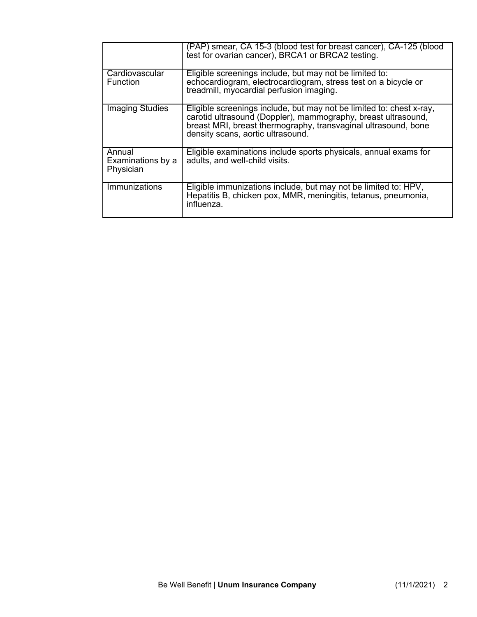|                                          | (PAP) smear, CA 15-3 (blood test for breast cancer), CA-125 (blood<br>test for ovarian cancer), BRCA1 or BRCA2 testing.                                                                                                                      |
|------------------------------------------|----------------------------------------------------------------------------------------------------------------------------------------------------------------------------------------------------------------------------------------------|
| Cardiovascular<br><b>Function</b>        | Eligible screenings include, but may not be limited to:<br>echocardiogram, electrocardiogram, stress test on a bicycle or<br>treadmill, myocardial perfusion imaging.                                                                        |
| <b>Imaging Studies</b>                   | Eligible screenings include, but may not be limited to: chest x-ray,<br>carotid ultrasound (Doppler), mammography, breast ultrasound,<br>breast MRI, breast thermography, transvaginal ultrasound, bone<br>density scans, aortic ultrasound. |
| Annual<br>Examinations by a<br>Physician | Eligible examinations include sports physicals, annual exams for<br>adults, and well-child visits.                                                                                                                                           |
| <b>Immunizations</b>                     | Eligible immunizations include, but may not be limited to: HPV,<br>Hepatitis B, chicken pox, MMR, meningitis, tetanus, pneumonia,<br>influenza.                                                                                              |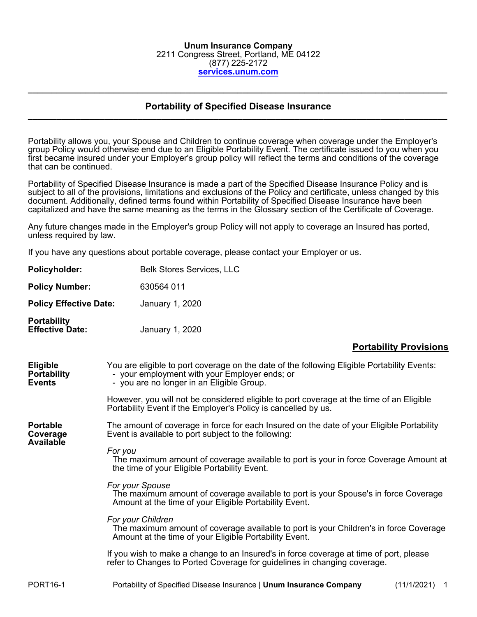#### **Unum Insurance Company** 2211 Congress Street, Portland, ME 04122 (877) 225-2172 **[services.unum.com](http://services.unum.com/)**

#### **Portability of Specified Disease Insurance \_\_\_\_\_\_\_\_\_\_\_\_\_\_\_\_\_\_\_\_\_\_\_\_\_\_\_\_\_\_\_\_\_\_\_\_\_\_\_\_\_\_\_\_\_\_\_\_\_\_\_\_\_\_\_\_\_\_\_\_\_\_\_\_\_\_\_\_\_\_\_\_\_\_\_\_\_\_\_\_\_\_\_\_\_\_\_\_**

**\_\_\_\_\_\_\_\_\_\_\_\_\_\_\_\_\_\_\_\_\_\_\_\_\_\_\_\_\_\_\_\_\_\_\_\_\_\_\_\_\_\_\_\_\_\_\_\_\_\_\_\_\_\_\_\_\_\_\_\_\_\_\_\_\_\_\_\_\_\_\_\_\_\_\_\_\_\_\_\_\_\_\_\_\_\_\_\_**

Portability allows you, your Spouse and Children to continue coverage when coverage under the Employer's group Policy would otherwise end due to an Eligible Portability Event. The certificate issued to you when you first became insured under your Employer's group policy will reflect the terms and conditions of the coverage that can be continued.

Portability of Specified Disease Insurance is made a part of the Specified Disease Insurance Policy and is subject to all of the provisions, limitations and exclusions of the Policy and certificate, unless changed by this document. Additionally, defined terms found within Portability of Specified Disease Insurance have been capitalized and have the same meaning as the terms in the Glossary section of the Certificate of Coverage.

Any future changes made in the Employer's group Policy will not apply to coverage an Insured has ported, unless required by law.

If you have any questions about portable coverage, please contact your Employer or us.

| Policyholder:                                          |                   | <b>Belk Stores Services, LLC</b>                                                                                                                                                          |                               |
|--------------------------------------------------------|-------------------|-------------------------------------------------------------------------------------------------------------------------------------------------------------------------------------------|-------------------------------|
| <b>Policy Number:</b>                                  |                   | 630564 011                                                                                                                                                                                |                               |
| <b>Policy Effective Date:</b>                          |                   | January 1, 2020                                                                                                                                                                           |                               |
| <b>Portability</b><br><b>Effective Date:</b>           |                   | January 1, 2020                                                                                                                                                                           |                               |
|                                                        |                   |                                                                                                                                                                                           | <b>Portability Provisions</b> |
| <b>Eligible</b><br><b>Portability</b><br><b>Events</b> |                   | You are eligible to port coverage on the date of the following Eligible Portability Events:<br>- your employment with your Employer ends; or<br>- you are no longer in an Eligible Group. |                               |
|                                                        |                   | However, you will not be considered eligible to port coverage at the time of an Eligible<br>Portability Event if the Employer's Policy is cancelled by us.                                |                               |
| <b>Portable</b><br>Coverage<br><b>Available</b>        |                   | The amount of coverage in force for each Insured on the date of your Eligible Portability<br>Event is available to port subject to the following:                                         |                               |
|                                                        | For you           | The maximum amount of coverage available to port is your in force Coverage Amount at<br>the time of your Eligible Portability Event.                                                      |                               |
|                                                        | For your Spouse   | The maximum amount of coverage available to port is your Spouse's in force Coverage<br>Amount at the time of your Eligible Portability Event.                                             |                               |
|                                                        | For your Children | The maximum amount of coverage available to port is your Children's in force Coverage<br>Amount at the time of your Eligible Portability Event.                                           |                               |
|                                                        |                   | If you wish to make a change to an Insured's in force coverage at time of port, please<br>refer to Changes to Ported Coverage for guidelines in changing coverage.                        |                               |
| <b>PORT16-1</b>                                        |                   | Portability of Specified Disease Insurance   Unum Insurance Company                                                                                                                       | (11/1/2021)<br>$\overline{1}$ |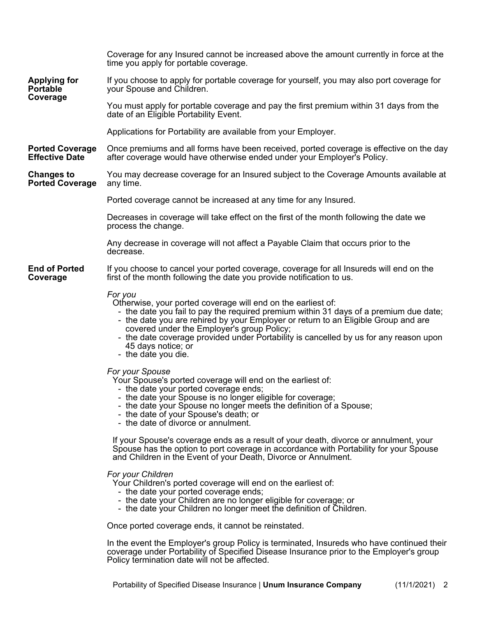|                                                 | Coverage for any Insured cannot be increased above the amount currently in force at the<br>time you apply for portable coverage.                                                                                                                                                                                                                                                                                                           |                 |  |
|-------------------------------------------------|--------------------------------------------------------------------------------------------------------------------------------------------------------------------------------------------------------------------------------------------------------------------------------------------------------------------------------------------------------------------------------------------------------------------------------------------|-----------------|--|
| <b>Applying for</b><br><b>Portable</b>          | If you choose to apply for portable coverage for yourself, you may also port coverage for<br>your Spouse and Children.                                                                                                                                                                                                                                                                                                                     |                 |  |
| Coverage                                        | You must apply for portable coverage and pay the first premium within 31 days from the<br>date of an Eligible Portability Event.                                                                                                                                                                                                                                                                                                           |                 |  |
|                                                 | Applications for Portability are available from your Employer.                                                                                                                                                                                                                                                                                                                                                                             |                 |  |
| <b>Ported Coverage</b><br><b>Effective Date</b> | Once premiums and all forms have been received, ported coverage is effective on the day<br>after coverage would have otherwise ended under your Employer's Policy.                                                                                                                                                                                                                                                                         |                 |  |
| <b>Changes to</b><br><b>Ported Coverage</b>     | You may decrease coverage for an Insured subject to the Coverage Amounts available at<br>any time.                                                                                                                                                                                                                                                                                                                                         |                 |  |
|                                                 | Ported coverage cannot be increased at any time for any Insured.                                                                                                                                                                                                                                                                                                                                                                           |                 |  |
|                                                 | Decreases in coverage will take effect on the first of the month following the date we<br>process the change.                                                                                                                                                                                                                                                                                                                              |                 |  |
|                                                 | Any decrease in coverage will not affect a Payable Claim that occurs prior to the<br>decrease.                                                                                                                                                                                                                                                                                                                                             |                 |  |
| <b>End of Ported</b><br>Coverage                | If you choose to cancel your ported coverage, coverage for all Insureds will end on the<br>first of the month following the date you provide notification to us.                                                                                                                                                                                                                                                                           |                 |  |
|                                                 | For you<br>Otherwise, your ported coverage will end on the earliest of:<br>- the date you fail to pay the required premium within 31 days of a premium due date;<br>- the date you are rehired by your Employer or return to an Eligible Group and are<br>covered under the Employer's group Policy;<br>- the date coverage provided under Portability is cancelled by us for any reason upon<br>45 days notice; or<br>- the date you die. |                 |  |
|                                                 | For your Spouse<br>Your Spouse's ported coverage will end on the earliest of:<br>- the date your ported coverage ends;<br>- the date your Spouse is no longer eligible for coverage;<br>- the date your Spouse no longer meets the definition of a Spouse;<br>- the date of your Spouse's death; or<br>- the date of divorce or annulment.                                                                                                 |                 |  |
|                                                 | If your Spouse's coverage ends as a result of your death, divorce or annulment, your<br>Spouse has the option to port coverage in accordance with Portability for your Spouse<br>and Children in the Event of your Death, Divorce or Annulment.                                                                                                                                                                                            |                 |  |
|                                                 | For your Children<br>Your Children's ported coverage will end on the earliest of:<br>- the date your ported coverage ends;<br>- the date your Children are no longer eligible for coverage; or<br>- the date your Children no longer meet the definition of Children.                                                                                                                                                                      |                 |  |
|                                                 | Once ported coverage ends, it cannot be reinstated.                                                                                                                                                                                                                                                                                                                                                                                        |                 |  |
|                                                 | In the event the Employer's group Policy is terminated, Insureds who have continued their<br>coverage under Portability of Specified Disease Insurance prior to the Employer's group<br>Policy termination date will not be affected.                                                                                                                                                                                                      |                 |  |
|                                                 | Portability of Specified Disease Insurance   Unum Insurance Company                                                                                                                                                                                                                                                                                                                                                                        | $(11/1/2021)$ 2 |  |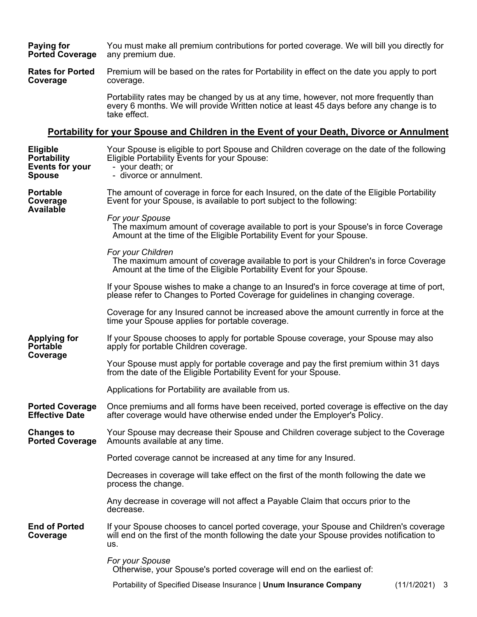**Paying for Ported Coverage** You must make all premium contributions for ported coverage. We will bill you directly for any premium due.

**Rates for Ported Coverage** Premium will be based on the rates for Portability in effect on the date you apply to port coverage.

> Portability rates may be changed by us at any time, however, not more frequently than every 6 months. We will provide Written notice at least 45 days before any change is to take effect.

#### **Portability for your Spouse and Children in the Event of your Death, Divorce or Annulment**

| <b>Eligible</b><br><b>Portability</b><br><b>Events for your</b><br><b>Spouse</b> | Your Spouse is eligible to port Spouse and Children coverage on the date of the following<br>Eligible Portability Events for your Spouse:<br>- your death; or<br>- divorce or annulment.   |  |  |  |
|----------------------------------------------------------------------------------|--------------------------------------------------------------------------------------------------------------------------------------------------------------------------------------------|--|--|--|
| <b>Portable</b><br>Coverage<br>Available                                         | The amount of coverage in force for each Insured, on the date of the Eligible Portability<br>Event for your Spouse, is available to port subject to the following:                         |  |  |  |
|                                                                                  | For your Spouse<br>The maximum amount of coverage available to port is your Spouse's in force Coverage<br>Amount at the time of the Eligible Portability Event for your Spouse.            |  |  |  |
|                                                                                  | For your Children<br>The maximum amount of coverage available to port is your Children's in force Coverage<br>Amount at the time of the Eligible Portability Event for your Spouse.        |  |  |  |
|                                                                                  | If your Spouse wishes to make a change to an Insured's in force coverage at time of port,<br>please refer to Changes to Ported Coverage for guidelines in changing coverage.               |  |  |  |
|                                                                                  | Coverage for any Insured cannot be increased above the amount currently in force at the<br>time your Spouse applies for portable coverage.                                                 |  |  |  |
| <b>Applying for</b><br><b>Portable</b><br>Coverage                               | If your Spouse chooses to apply for portable Spouse coverage, your Spouse may also<br>apply for portable Children coverage.                                                                |  |  |  |
|                                                                                  | Your Spouse must apply for portable coverage and pay the first premium within 31 days<br>from the date of the Eligible Portability Event for your Spouse.                                  |  |  |  |
|                                                                                  | Applications for Portability are available from us.                                                                                                                                        |  |  |  |
| <b>Ported Coverage</b><br><b>Effective Date</b>                                  | Once premiums and all forms have been received, ported coverage is effective on the day<br>after coverage would have otherwise ended under the Employer's Policy.                          |  |  |  |
| <b>Changes to</b><br><b>Ported Coverage</b>                                      | Your Spouse may decrease their Spouse and Children coverage subject to the Coverage<br>Amounts available at any time.                                                                      |  |  |  |
|                                                                                  | Ported coverage cannot be increased at any time for any Insured.                                                                                                                           |  |  |  |
|                                                                                  | Decreases in coverage will take effect on the first of the month following the date we<br>process the change.                                                                              |  |  |  |
|                                                                                  | Any decrease in coverage will not affect a Payable Claim that occurs prior to the<br>decrease.                                                                                             |  |  |  |
| <b>End of Ported</b><br>Coverage                                                 | If your Spouse chooses to cancel ported coverage, your Spouse and Children's coverage<br>will end on the first of the month following the date your Spouse provides notification to<br>us. |  |  |  |
|                                                                                  | For your Spouse<br>Otherwise, your Spouse's ported coverage will end on the earliest of:                                                                                                   |  |  |  |
|                                                                                  | Portability of Specified Disease Insurance   Unum Insurance Company<br>$(11/1/2021)$ 3                                                                                                     |  |  |  |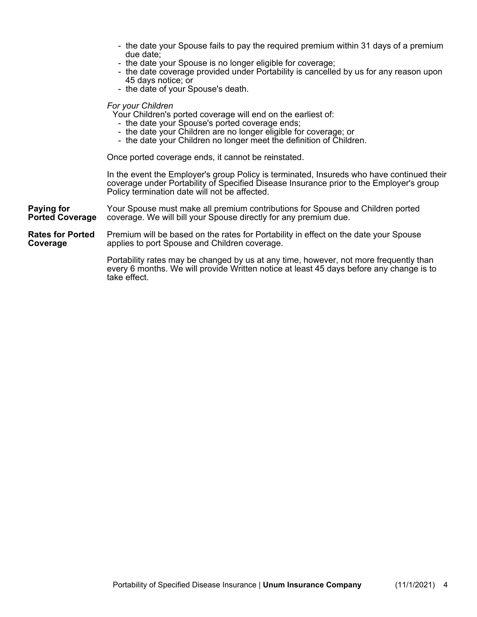- the date your Spouse fails to pay the required premium within 31 days of a premium due date;
- the date your Spouse is no longer eligible for coverage;
- the date coverage provided under Portability is cancelled by us for any reason upon 45 days notice; or
- the date of your Spouse's death.

#### *For your Children*

Your Children's ported coverage will end on the earliest of:

- the date your Spouse's ported coverage ends;
- the date your Children are no longer eligible for coverage; or
- the date your Children no longer meet the definition of Children.

Once ported coverage ends, it cannot be reinstated.

In the event the Employer's group Policy is terminated, Insureds who have continued their coverage under Portability of Specified Disease Insurance prior to the Employer's group Policy termination date will not be affected.

**Paying for Ported Coverage** Your Spouse must make all premium contributions for Spouse and Children ported coverage. We will bill your Spouse directly for any premium due.

**Rates for Ported Coverage** Premium will be based on the rates for Portability in effect on the date your Spouse applies to port Spouse and Children coverage.

> Portability rates may be changed by us at any time, however, not more frequently than every 6 months. We will provide Written notice at least 45 days before any change is to take effect.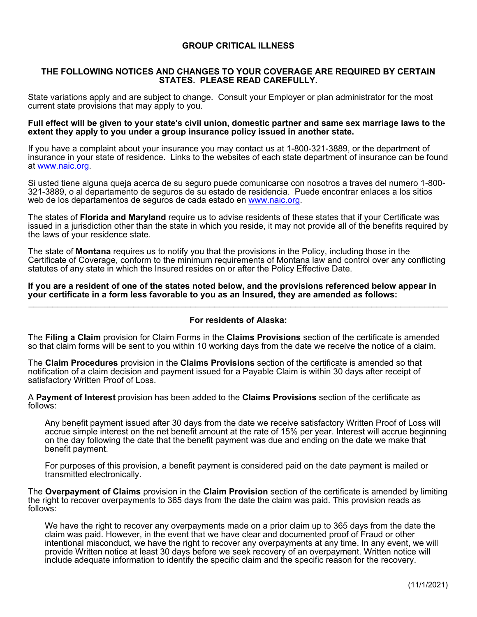#### **GROUP CRITICAL ILLNESS**

#### **THE FOLLOWING NOTICES AND CHANGES TO YOUR COVERAGE ARE REQUIRED BY CERTAIN STATES. PLEASE READ CAREFULLY.**

State variations apply and are subject to change. Consult your Employer or plan administrator for the most current state provisions that may apply to you.

#### **Full effect will be given to your state's civil union, domestic partner and same sex marriage laws to the extent they apply to you under a group insurance policy issued in another state.**

If you have a complaint about your insurance you may contact us at 1-800-321-3889, or the department of insurance in your state of residence. Links to the websites of each state department of insurance can be found at [www.naic.org](http://www.naic.org/).

Si usted tiene alguna queja acerca de su seguro puede comunicarse con nosotros a traves del numero 1-800- 321-3889, o al departamento de seguros de su estado de residencia. Puede encontrar enlaces a los sitios web de los departamentos de seguros de cada estado en [www.naic.org](http://www.naic.org/).

The states of **Florida and Maryland** require us to advise residents of these states that if your Certificate was issued in a jurisdiction other than the state in which you reside, it may not provide all of the benefits required by the laws of your residence state.

The state of **Montana** requires us to notify you that the provisions in the Policy, including those in the Certificate of Coverage, conform to the minimum requirements of Montana law and control over any conflicting statutes of any state in which the Insured resides on or after the Policy Effective Date.

**If you are a resident of one of the states noted below, and the provisions referenced below appear in your certificate in a form less favorable to you as an Insured, they are amended as follows:** \_\_\_\_\_\_\_\_\_\_\_\_\_\_\_\_\_\_\_\_\_\_\_\_\_\_\_\_\_\_\_\_\_\_\_\_\_\_\_\_\_\_\_\_\_\_\_\_\_\_\_\_\_\_\_\_\_\_\_\_\_\_\_\_\_\_\_\_\_\_\_\_\_\_\_\_\_\_\_\_\_\_\_\_\_\_\_\_

#### **For residents of Alaska:**

The **Filing a Claim** provision for Claim Forms in the **Claims Provisions** section of the certificate is amended so that claim forms will be sent to you within 10 working days from the date we receive the notice of a claim.

The **Claim Procedures** provision in the **Claims Provisions** section of the certificate is amended so that notification of a claim decision and payment issued for a Payable Claim is within 30 days after receipt of satisfactory Written Proof of Loss.

A **Payment of Interest** provision has been added to the **Claims Provisions** section of the certificate as follows:

Any benefit payment issued after 30 days from the date we receive satisfactory Written Proof of Loss will accrue simple interest on the net benefit amount at the rate of 15% per year. Interest will accrue beginning on the day following the date that the benefit payment was due and ending on the date we make that benefit payment.

For purposes of this provision, a benefit payment is considered paid on the date payment is mailed or transmitted electronically.

The **Overpayment of Claims** provision in the **Claim Provision** section of the certificate is amended by limiting the right to recover overpayments to 365 days from the date the claim was paid. This provision reads as follows:

We have the right to recover any overpayments made on a prior claim up to 365 days from the date the claim was paid. However, in the event that we have clear and documented proof of Fraud or other intentional misconduct, we have the right to recover any overpayments at any time. In any event, we will provide Written notice at least 30 days before we seek recovery of an overpayment. Written notice will include adequate information to identify the specific claim and the specific reason for the recovery.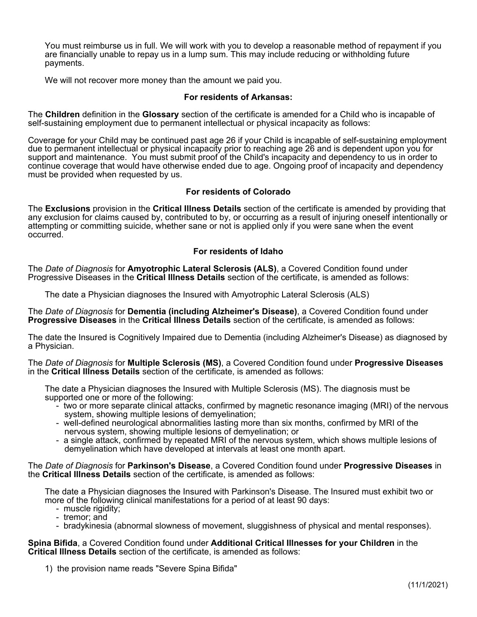You must reimburse us in full. We will work with you to develop a reasonable method of repayment if you are financially unable to repay us in a lump sum. This may include reducing or withholding future payments.

We will not recover more money than the amount we paid you.

#### **For residents of Arkansas:**

The **Children** definition in the **Glossary** section of the certificate is amended for a Child who is incapable of self-sustaining employment due to permanent intellectual or physical incapacity as follows:

Coverage for your Child may be continued past age 26 if your Child is incapable of self-sustaining employment due to permanent intellectual or physical incapacity prior to reaching age 26 and is dependent upon you for support and maintenance. You must submit proof of the Child's incapacity and dependency to us in order to continue coverage that would have otherwise ended due to age. Ongoing proof of incapacity and dependency must be provided when requested by us.

#### **For residents of Colorado**

The **Exclusions** provision in the **Critical Illness Details** section of the certificate is amended by providing that any exclusion for claims caused by, contributed to by, or occurring as a result of injuring oneself intentionally or attempting or committing suicide, whether sane or not is applied only if you were sane when the event occurred.

#### **For residents of Idaho**

The *Date of Diagnosis* for **Amyotrophic Lateral Sclerosis (ALS)**, a Covered Condition found under Progressive Diseases in the **Critical Illness Details** section of the certificate, is amended as follows:

The date a Physician diagnoses the Insured with Amyotrophic Lateral Sclerosis (ALS)

The *Date of Diagnosis* for **Dementia (including Alzheimer's Disease)**, a Covered Condition found under **Progressive Diseases** in the **Critical Illness Details** section of the certificate, is amended as follows:

The date the Insured is Cognitively Impaired due to Dementia (including Alzheimer's Disease) as diagnosed by a Physician.

The *Date of Diagnosis* for **Multiple Sclerosis (MS)**, a Covered Condition found under **Progressive Diseases** in the **Critical Illness Details** section of the certificate, is amended as follows:

The date a Physician diagnoses the Insured with Multiple Sclerosis (MS). The diagnosis must be supported one or more of the following:

- two or more separate clinical attacks, confirmed by magnetic resonance imaging (MRI) of the nervous system, showing multiple lesions of demyelination;
- well-defined neurological abnormalities lasting more than six months, confirmed by MRI of the nervous system, showing multiple lesions of demyelination; or
- a single attack, confirmed by repeated MRI of the nervous system, which shows multiple lesions of demyelination which have developed at intervals at least one month apart.

The *Date of Diagnosis* for **Parkinson's Disease**, a Covered Condition found under **Progressive Diseases** in the **Critical Illness Details** section of the certificate, is amended as follows:

The date a Physician diagnoses the Insured with Parkinson's Disease. The Insured must exhibit two or more of the following clinical manifestations for a period of at least 90 days:

- muscle rigidity;
- tremor; and
- bradykinesia (abnormal slowness of movement, sluggishness of physical and mental responses).

**Spina Bifida**, a Covered Condition found under **Additional Critical Illnesses for your Children** in the **Critical Illness Details** section of the certificate, is amended as follows:

1) the provision name reads "Severe Spina Bifida"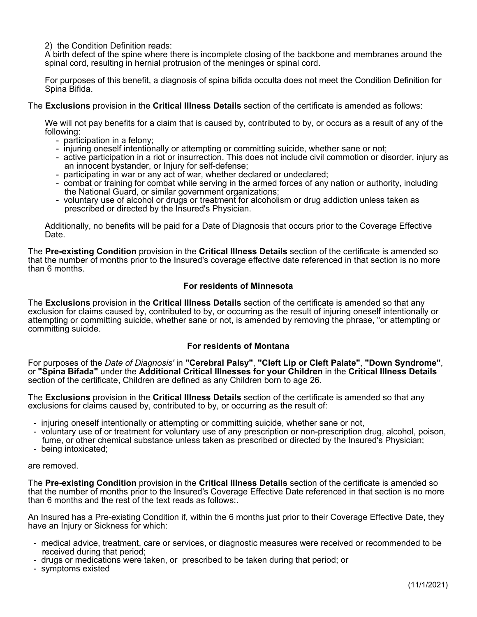2) the Condition Definition reads:

A birth defect of the spine where there is incomplete closing of the backbone and membranes around the spinal cord, resulting in hernial protrusion of the meninges or spinal cord.

For purposes of this benefit, a diagnosis of spina bifida occulta does not meet the Condition Definition for Spina Bifida.

The **Exclusions** provision in the **Critical Illness Details** section of the certificate is amended as follows:

We will not pay benefits for a claim that is caused by, contributed to by, or occurs as a result of any of the following:

- participation in a felony;
- injuring oneself intentionally or attempting or committing suicide, whether sane or not;
- active participation in a riot or insurrection. This does not include civil commotion or disorder, injury as an innocent bystander, or Injury for self-defense;
- participating in war or any act of war, whether declared or undeclared;
- combat or training for combat while serving in the armed forces of any nation or authority, including the National Guard, or similar government organizations;
- voluntary use of alcohol or drugs or treatment for alcoholism or drug addiction unless taken as prescribed or directed by the Insured's Physician.

Additionally, no benefits will be paid for a Date of Diagnosis that occurs prior to the Coverage Effective Date.

The **Pre-existing Condition** provision in the **Critical Illness Details** section of the certificate is amended so that the number of months prior to the Insured's coverage effective date referenced in that section is no more than 6 months.

#### **For residents of Minnesota**

The **Exclusions** provision in the **Critical Illness Details** section of the certificate is amended so that any exclusion for claims caused by, contributed to by, or occurring as the result of injuring oneself intentionally or attempting or committing suicide, whether sane or not, is amended by removing the phrase, "or attempting or committing suicide.

#### **For residents of Montana**

For purposes of the *Date of Diagnosis'* in **"Cerebral Palsy"**, **"Cleft Lip or Cleft Palate"**, **"Down Syndrome"**, or **"Spina Bifada"** under the **Additional Critical Illnesses for your Children** in the **Critical Illness Details** section of the certificate, Children are defined as any Children born to age 26.

The **Exclusions** provision in the **Critical Illness Details** section of the certificate is amended so that any exclusions for claims caused by, contributed to by, or occurring as the result of:

- injuring oneself intentionally or attempting or committing suicide, whether sane or not,
- voluntary use of or treatment for voluntary use of any prescription or non-prescription drug, alcohol, poison, fume, or other chemical substance unless taken as prescribed or directed by the Insured's Physician;
- being intoxicated;

#### are removed.

The **Pre-existing Condition** provision in the **Critical Illness Details** section of the certificate is amended so that the number of months prior to the Insured's Coverage Effective Date referenced in that section is no more than 6 months and the rest of the text reads as follows:.

An Insured has a Pre-existing Condition if, within the 6 months just prior to their Coverage Effective Date, they have an Injury or Sickness for which:

- medical advice, treatment, care or services, or diagnostic measures were received or recommended to be received during that period;
- drugs or medications were taken, or prescribed to be taken during that period; or
- symptoms existed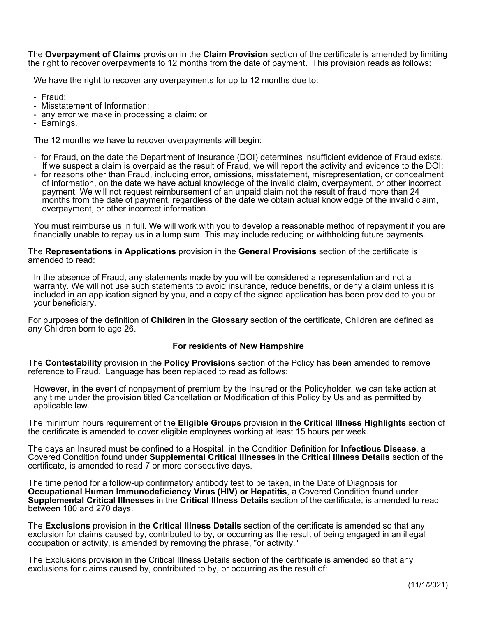The **Overpayment of Claims** provision in the **Claim Provision** section of the certificate is amended by limiting the right to recover overpayments to 12 months from the date of payment. This provision reads as follows:

We have the right to recover any overpayments for up to 12 months due to:

- Fraud;

- Misstatement of Information;
- any error we make in processing a claim; or
- Earnings.

The 12 months we have to recover overpayments will begin:

- for Fraud, on the date the Department of Insurance (DOI) determines insufficient evidence of Fraud exists. If we suspect a claim is overpaid as the result of Fraud, we will report the activity and evidence to the DOI;
- for reasons other than Fraud, including error, omissions, misstatement, misrepresentation, or concealment of information, on the date we have actual knowledge of the invalid claim, overpayment, or other incorrect payment. We will not request reimbursement of an unpaid claim not the result of fraud more than 24 months from the date of payment, regardless of the date we obtain actual knowledge of the invalid claim, overpayment, or other incorrect information.

You must reimburse us in full. We will work with you to develop a reasonable method of repayment if you are financially unable to repay us in a lump sum. This may include reducing or withholding future payments.

#### The **Representations in Applications** provision in the **General Provisions** section of the certificate is amended to read:

In the absence of Fraud, any statements made by you will be considered a representation and not a warranty. We will not use such statements to avoid insurance, reduce benefits, or deny a claim unless it is included in an application signed by you, and a copy of the signed application has been provided to you or your beneficiary.

For purposes of the definition of **Children** in the **Glossary** section of the certificate, Children are defined as any Children born to age 26.

#### **For residents of New Hampshire**

The **Contestability** provision in the **Policy Provisions** section of the Policy has been amended to remove reference to Fraud. Language has been replaced to read as follows:

However, in the event of nonpayment of premium by the Insured or the Policyholder, we can take action at any time under the provision titled Cancellation or Modification of this Policy by Us and as permitted by applicable law.

The minimum hours requirement of the **Eligible Groups** provision in the **Critical Illness Highlights** section of the certificate is amended to cover eligible employees working at least 15 hours per week.

The days an Insured must be confined to a Hospital, in the Condition Definition for **Infectious Disease**, a Covered Condition found under **Supplemental Critical Illnesses** in the **Critical Illness Details** section of the certificate, is amended to read 7 or more consecutive days.

The time period for a follow-up confirmatory antibody test to be taken, in the Date of Diagnosis for **Occupational Human Immunodeficiency Virus (HIV) or Hepatitis**, a Covered Condition found under **Supplemental Critical Illnesses** in the **Critical Illness Details** section of the certificate, is amended to read between 180 and 270 days.

The **Exclusions** provision in the **Critical Illness Details** section of the certificate is amended so that any exclusion for claims caused by, contributed to by, or occurring as the result of being engaged in an illegal occupation or activity, is amended by removing the phrase, "or activity."

The Exclusions provision in the Critical Illness Details section of the certificate is amended so that any exclusions for claims caused by, contributed to by, or occurring as the result of: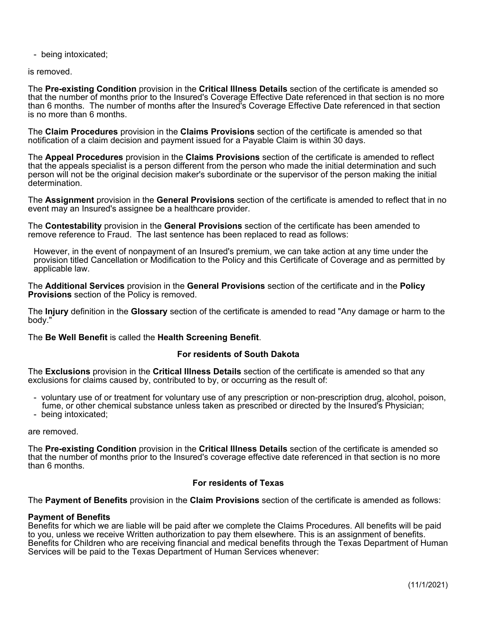- being intoxicated;

is removed.

The **Pre-existing Condition** provision in the **Critical Illness Details** section of the certificate is amended so that the number of months prior to the Insured's Coverage Effective Date referenced in that section is no more than 6 months. The number of months after the Insured's Coverage Effective Date referenced in that section is no more than 6 months.

The **Claim Procedures** provision in the **Claims Provisions** section of the certificate is amended so that notification of a claim decision and payment issued for a Payable Claim is within 30 days.

The **Appeal Procedures** provision in the **Claims Provisions** section of the certificate is amended to reflect that the appeals specialist is a person different from the person who made the initial determination and such person will not be the original decision maker's subordinate or the supervisor of the person making the initial determination.

The **Assignment** provision in the **General Provisions** section of the certificate is amended to reflect that in no event may an Insured's assignee be a healthcare provider.

The **Contestability** provision in the **General Provisions** section of the certificate has been amended to remove reference to Fraud. The last sentence has been replaced to read as follows:

However, in the event of nonpayment of an Insured's premium, we can take action at any time under the provision titled Cancellation or Modification to the Policy and this Certificate of Coverage and as permitted by applicable law.

The **Additional Services** provision in the **General Provisions** section of the certificate and in the **Policy Provisions** section of the Policy is removed.

The **Injury** definition in the **Glossary** section of the certificate is amended to read "Any damage or harm to the body."

The **Be Well Benefit** is called the **Health Screening Benefit**.

#### **For residents of South Dakota**

The **Exclusions** provision in the **Critical Illness Details** section of the certificate is amended so that any exclusions for claims caused by, contributed to by, or occurring as the result of:

- voluntary use of or treatment for voluntary use of any prescription or non-prescription drug, alcohol, poison, fume, or other chemical substance unless taken as prescribed or directed by the Insured's Physician;
- being intoxicated;

are removed.

The **Pre-existing Condition** provision in the **Critical Illness Details** section of the certificate is amended so that the number of months prior to the Insured's coverage effective date referenced in that section is no more than 6 months.

#### **For residents of Texas**

The **Payment of Benefits** provision in the **Claim Provisions** section of the certificate is amended as follows:

#### **Payment of Benefits**

Benefits for which we are liable will be paid after we complete the Claims Procedures. All benefits will be paid to you, unless we receive Written authorization to pay them elsewhere. This is an assignment of benefits. Benefits for Children who are receiving financial and medical benefits through the Texas Department of Human Services will be paid to the Texas Department of Human Services whenever: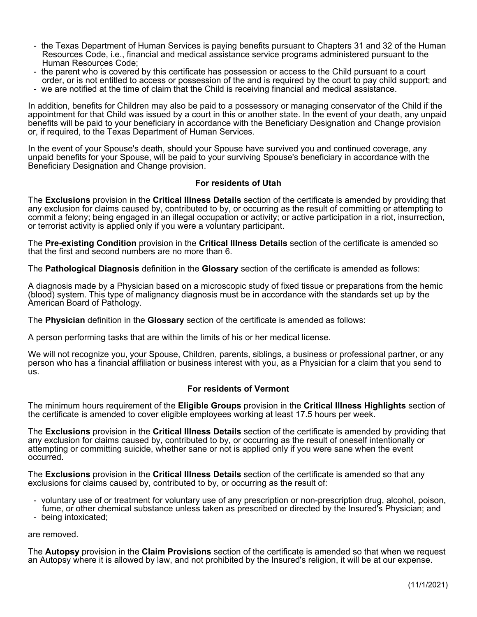- the Texas Department of Human Services is paying benefits pursuant to Chapters 31 and 32 of the Human Resources Code, i.e., financial and medical assistance service programs administered pursuant to the Human Resources Code;
- the parent who is covered by this certificate has possession or access to the Child pursuant to a court order, or is not entitled to access or possession of the and is required by the court to pay child support; and
- we are notified at the time of claim that the Child is receiving financial and medical assistance.

In addition, benefits for Children may also be paid to a possessory or managing conservator of the Child if the appointment for that Child was issued by a court in this or another state. In the event of your death, any unpaid benefits will be paid to your beneficiary in accordance with the Beneficiary Designation and Change provision or, if required, to the Texas Department of Human Services.

In the event of your Spouse's death, should your Spouse have survived you and continued coverage, any unpaid benefits for your Spouse, will be paid to your surviving Spouse's beneficiary in accordance with the Beneficiary Designation and Change provision.

#### **For residents of Utah**

The **Exclusions** provision in the **Critical Illness Details** section of the certificate is amended by providing that any exclusion for claims caused by, contributed to by, or occurring as the result of committing or attempting to commit a felony; being engaged in an illegal occupation or activity; or active participation in a riot, insurrection, or terrorist activity is applied only if you were a voluntary participant.

The **Pre-existing Condition** provision in the **Critical Illness Details** section of the certificate is amended so that the first and second numbers are no more than 6.

The **Pathological Diagnosis** definition in the **Glossary** section of the certificate is amended as follows:

A diagnosis made by a Physician based on a microscopic study of fixed tissue or preparations from the hemic (blood) system. This type of malignancy diagnosis must be in accordance with the standards set up by the American Board of Pathology.

The **Physician** definition in the **Glossary** section of the certificate is amended as follows:

A person performing tasks that are within the limits of his or her medical license.

We will not recognize you, your Spouse, Children, parents, siblings, a business or professional partner, or any person who has a financial affiliation or business interest with you, as a Physician for a claim that you send to us.

#### **For residents of Vermont**

The minimum hours requirement of the **Eligible Groups** provision in the **Critical Illness Highlights** section of the certificate is amended to cover eligible employees working at least 17.5 hours per week.

The **Exclusions** provision in the **Critical Illness Details** section of the certificate is amended by providing that any exclusion for claims caused by, contributed to by, or occurring as the result of oneself intentionally or attempting or committing suicide, whether sane or not is applied only if you were sane when the event occurred.

The **Exclusions** provision in the **Critical Illness Details** section of the certificate is amended so that any exclusions for claims caused by, contributed to by, or occurring as the result of:

- voluntary use of or treatment for voluntary use of any prescription or non-prescription drug, alcohol, poison, fume, or other chemical substance unless taken as prescribed or directed by the Insured's Physician; and
- being intoxicated;

#### are removed.

The **Autopsy** provision in the **Claim Provisions** section of the certificate is amended so that when we request an Autopsy where it is allowed by law, and not prohibited by the Insured's religion, it will be at our expense.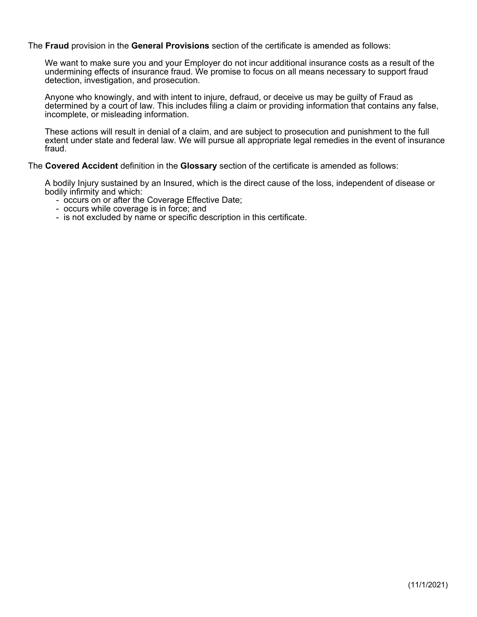The **Fraud** provision in the **General Provisions** section of the certificate is amended as follows:

We want to make sure you and your Employer do not incur additional insurance costs as a result of the undermining effects of insurance fraud. We promise to focus on all means necessary to support fraud detection, investigation, and prosecution.

Anyone who knowingly, and with intent to injure, defraud, or deceive us may be guilty of Fraud as determined by a court of law. This includes filing a claim or providing information that contains any false, incomplete, or misleading information.

These actions will result in denial of a claim, and are subject to prosecution and punishment to the full extent under state and federal law. We will pursue all appropriate legal remedies in the event of insurance fraud.

#### The **Covered Accident** definition in the **Glossary** section of the certificate is amended as follows:

A bodily Injury sustained by an Insured, which is the direct cause of the loss, independent of disease or bodily infirmity and which:

- occurs on or after the Coverage Effective Date;
- occurs while coverage is in force; and
- is not excluded by name or specific description in this certificate.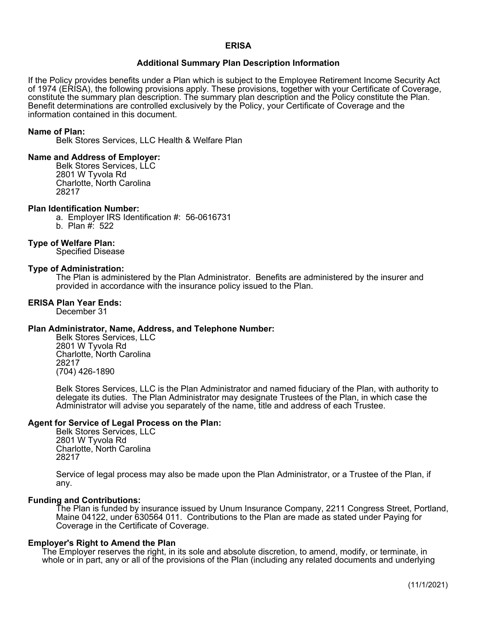#### **ERISA**

#### **Additional Summary Plan Description Information**

If the Policy provides benefits under a Plan which is subject to the Employee Retirement Income Security Act of 1974 (ERISA), the following provisions apply. These provisions, together with your Certificate of Coverage, constitute the summary plan description. The summary plan description and the Policy constitute the Plan. Benefit determinations are controlled exclusively by the Policy, your Certificate of Coverage and the information contained in this document.

#### **Name of Plan:**

Belk Stores Services, LLC Health & Welfare Plan

#### **Name and Address of Employer:**

Belk Stores Services, LLC 2801 W Tyvola Rd Charlotte, North Carolina 28217

#### **Plan Identification Number:**

a. Employer IRS Identification #: 56-0616731

b. Plan #: 522

#### **Type of Welfare Plan:**

Specified Disease

#### **Type of Administration:**

The Plan is administered by the Plan Administrator. Benefits are administered by the insurer and provided in accordance with the insurance policy issued to the Plan.

#### **ERISA Plan Year Ends:**

December 31

#### **Plan Administrator, Name, Address, and Telephone Number:**

Belk Stores Services, LLC 2801 W Tyvola Rd Charlotte, North Carolina 28217 (704) 426-1890

Belk Stores Services, LLC is the Plan Administrator and named fiduciary of the Plan, with authority to delegate its duties. The Plan Administrator may designate Trustees of the Plan, in which case the Administrator will advise you separately of the name, title and address of each Trustee.

#### **Agent for Service of Legal Process on the Plan:**

Belk Stores Services, LLC 2801 W Tyvola Rd Charlotte, North Carolina 28217

Service of legal process may also be made upon the Plan Administrator, or a Trustee of the Plan, if any.

#### **Funding and Contributions:**

The Plan is funded by insurance issued by Unum Insurance Company, 2211 Congress Street, Portland, Maine 04122, under 630564 011. Contributions to the Plan are made as stated under Paying for Coverage in the Certificate of Coverage.

#### **Employer's Right to Amend the Plan**

The Employer reserves the right, in its sole and absolute discretion, to amend, modify, or terminate, in whole or in part, any or all of the provisions of the Plan (including any related documents and underlying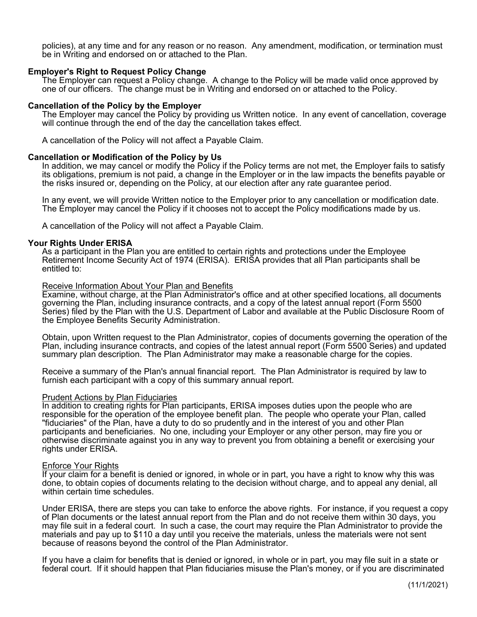policies), at any time and for any reason or no reason. Any amendment, modification, or termination must be in Writing and endorsed on or attached to the Plan.

#### **Employer's Right to Request Policy Change**

The Employer can request a Policy change. A change to the Policy will be made valid once approved by one of our officers. The change must be in Writing and endorsed on or attached to the Policy.

#### **Cancellation of the Policy by the Employer**

The Employer may cancel the Policy by providing us Written notice. In any event of cancellation, coverage will continue through the end of the day the cancellation takes effect.

A cancellation of the Policy will not affect a Payable Claim.

#### **Cancellation or Modification of the Policy by Us**

In addition, we may cancel or modify the Policy if the Policy terms are not met, the Employer fails to satisfy its obligations, premium is not paid, a change in the Employer or in the law impacts the benefits payable or the risks insured or, depending on the Policy, at our election after any rate guarantee period.

In any event, we will provide Written notice to the Employer prior to any cancellation or modification date. The Employer may cancel the Policy if it chooses not to accept the Policy modifications made by us.

A cancellation of the Policy will not affect a Payable Claim.

#### **Your Rights Under ERISA**

As a participant in the Plan you are entitled to certain rights and protections under the Employee Retirement Income Security Act of 1974 (ERISA). ERISA provides that all Plan participants shall be entitled to:

#### Receive Information About Your Plan and Benefits

Examine, without charge, at the Plan Administrator's office and at other specified locations, all documents governing the Plan, including insurance contracts, and a copy of the latest annual report (Form 5500 Series) filed by the Plan with the U.S. Department of Labor and available at the Public Disclosure Room of the Employee Benefits Security Administration.

Obtain, upon Written request to the Plan Administrator, copies of documents governing the operation of the Plan, including insurance contracts, and copies of the latest annual report (Form 5500 Series) and updated summary plan description. The Plan Administrator may make a reasonable charge for the copies.

Receive a summary of the Plan's annual financial report. The Plan Administrator is required by law to furnish each participant with a copy of this summary annual report.

#### Prudent Actions by Plan Fiduciaries

In addition to creating rights for Plan participants, ERISA imposes duties upon the people who are responsible for the operation of the employee benefit plan. The people who operate your Plan, called "fiduciaries" of the Plan, have a duty to do so prudently and in the interest of you and other Plan participants and beneficiaries. No one, including your Employer or any other person, may fire you or otherwise discriminate against you in any way to prevent you from obtaining a benefit or exercising your rights under ERISA.

#### Enforce Your Rights

If your claim for a benefit is denied or ignored, in whole or in part, you have a right to know why this was done, to obtain copies of documents relating to the decision without charge, and to appeal any denial, all within certain time schedules.

Under ERISA, there are steps you can take to enforce the above rights. For instance, if you request a copy of Plan documents or the latest annual report from the Plan and do not receive them within 30 days, you may file suit in a federal court. In such a case, the court may require the Plan Administrator to provide the materials and pay up to \$110 a day until you receive the materials, unless the materials were not sent because of reasons beyond the control of the Plan Administrator.

If you have a claim for benefits that is denied or ignored, in whole or in part, you may file suit in a state or federal court. If it should happen that Plan fiduciaries misuse the Plan's money, or if you are discriminated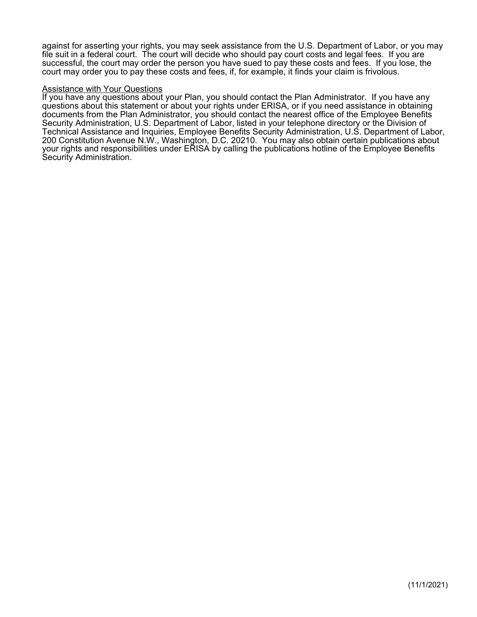against for asserting your rights, you may seek assistance from the U.S. Department of Labor, or you may file suit in a federal court. The court will decide who should pay court costs and legal fees. If you are successful, the court may order the person you have sued to pay these costs and fees. If you lose, the court may order you to pay these costs and fees, if, for example, it finds your claim is frivolous.

#### Assistance with Your Questions

If you have any questions about your Plan, you should contact the Plan Administrator. If you have any questions about this statement or about your rights under ERISA, or if you need assistance in obtaining documents from the Plan Administrator, you should contact the nearest office of the Employee Benefits Security Administration, U.S. Department of Labor, listed in your telephone directory or the Division of Technical Assistance and Inquiries, Employee Benefits Security Administration, U.S. Department of Labor, 200 Constitution Avenue N.W., Washington, D.C. 20210. You may also obtain certain publications about your rights and responsibilities under ERISA by calling the publications hotline of the Employee Benefits Security Administration.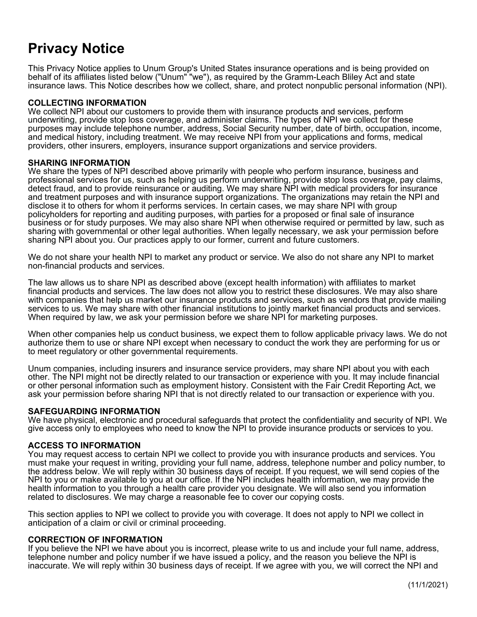# **Privacy Notice**

This Privacy Notice applies to Unum Group's United States insurance operations and is being provided on behalf of its affiliates listed below ("Unum" "we"), as required by the Gramm-Leach Bliley Act and state insurance laws. This Notice describes how we collect, share, and protect nonpublic personal information (NPI).

#### **COLLECTING INFORMATION**

We collect NPI about our customers to provide them with insurance products and services, perform underwriting, provide stop loss coverage, and administer claims. The types of NPI we collect for these purposes may include telephone number, address, Social Security number, date of birth, occupation, income, and medical history, including treatment. We may receive NPI from your applications and forms, medical providers, other insurers, employers, insurance support organizations and service providers.

#### **SHARING INFORMATION**

We share the types of NPI described above primarily with people who perform insurance, business and professional services for us, such as helping us perform underwriting, provide stop loss coverage, pay claims, detect fraud, and to provide reinsurance or auditing. We may share NPI with medical providers for insurance and treatment purposes and with insurance support organizations. The organizations may retain the NPI and disclose it to others for whom it performs services. In certain cases, we may share NPI with group policyholders for reporting and auditing purposes, with parties for a proposed or final sale of insurance business or for study purposes. We may also share NPI when otherwise required or permitted by law, such as sharing with governmental or other legal authorities. When legally necessary, we ask your permission before sharing NPI about you. Our practices apply to our former, current and future customers.

We do not share your health NPI to market any product or service. We also do not share any NPI to market non-financial products and services.

The law allows us to share NPI as described above (except health information) with affiliates to market financial products and services. The law does not allow you to restrict these disclosures. We may also share with companies that help us market our insurance products and services, such as vendors that provide mailing services to us. We may share with other financial institutions to jointly market financial products and services. When required by law, we ask your permission before we share NPI for marketing purposes.

When other companies help us conduct business, we expect them to follow applicable privacy laws. We do not authorize them to use or share NPI except when necessary to conduct the work they are performing for us or to meet regulatory or other governmental requirements.

Unum companies, including insurers and insurance service providers, may share NPI about you with each other. The NPI might not be directly related to our transaction or experience with you. It may include financial or other personal information such as employment history. Consistent with the Fair Credit Reporting Act, we ask your permission before sharing NPI that is not directly related to our transaction or experience with you.

#### **SAFEGUARDING INFORMATION**

We have physical, electronic and procedural safeguards that protect the confidentiality and security of NPI. We give access only to employees who need to know the NPI to provide insurance products or services to you.

#### **ACCESS TO INFORMATION**

You may request access to certain NPI we collect to provide you with insurance products and services. You must make your request in writing, providing your full name, address, telephone number and policy number, to the address below. We will reply within 30 business days of receipt. If you request, we will send copies of the NPI to you or make available to you at our office. If the NPI includes health information, we may provide the health information to you through a health care provider you designate. We will also send you information related to disclosures. We may charge a reasonable fee to cover our copying costs.

This section applies to NPI we collect to provide you with coverage. It does not apply to NPI we collect in anticipation of a claim or civil or criminal proceeding.

#### **CORRECTION OF INFORMATION**

If you believe the NPI we have about you is incorrect, please write to us and include your full name, address, telephone number and policy number if we have issued a policy, and the reason you believe the NPI is inaccurate. We will reply within 30 business days of receipt. If we agree with you, we will correct the NPI and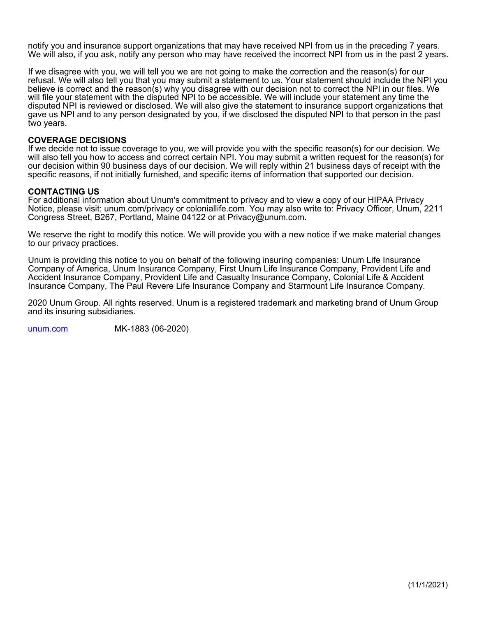notify you and insurance support organizations that may have received NPI from us in the preceding 7 years. We will also, if you ask, notify any person who may have received the incorrect NPI from us in the past 2 years.

If we disagree with you, we will tell you we are not going to make the correction and the reason(s) for our refusal. We will also tell you that you may submit a statement to us. Your statement should include the NPI you believe is correct and the reason(s) why you disagree with our decision not to correct the NPI in our files. We will file your statement with the disputed NPI to be accessible. We will include your statement any time the disputed NPI is reviewed or disclosed. We will also give the statement to insurance support organizations that gave us NPI and to any person designated by you, if we disclosed the disputed NPI to that person in the past two years.

#### **COVERAGE DECISIONS**

If we decide not to issue coverage to you, we will provide you with the specific reason(s) for our decision. We will also tell you how to access and correct certain NPI. You may submit a written request for the reason(s) for our decision within 90 business days of our decision. We will reply within 21 business days of receipt with the specific reasons, if not initially furnished, and specific items of information that supported our decision.

#### **CONTACTING US**

For additional information about Unum's commitment to privacy and to view a copy of our HIPAA Privacy Notice, please visit: unum.com/privacy or coloniallife.com. You may also write to: Privacy Officer, Unum, 2211 Congress Street, B267, Portland, Maine 04122 or at Privacy@unum.com.

We reserve the right to modify this notice. We will provide you with a new notice if we make material changes to our privacy practices.

Unum is providing this notice to you on behalf of the following insuring companies: Unum Life Insurance Company of America, Unum Insurance Company, First Unum Life Insurance Company, Provident Life and Accident Insurance Company, Provident Life and Casualty Insurance Company, Colonial Life & Accident Insurance Company, The Paul Revere Life Insurance Company and Starmount Life Insurance Company.

2020 Unum Group. All rights reserved. Unum is a registered trademark and marketing brand of Unum Group and its insuring subsidiaries.

[unum.com](http://unum.com/) MK-1883 (06-2020)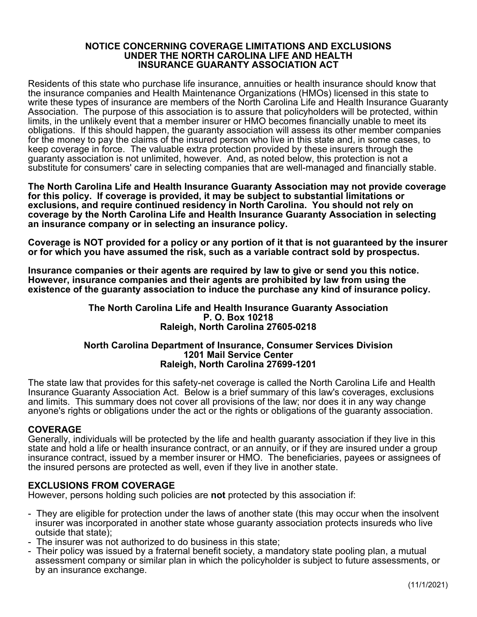#### **NOTICE CONCERNING COVERAGE LIMITATIONS AND EXCLUSIONS UNDER THE NORTH CAROLINA LIFE AND HEALTH INSURANCE GUARANTY ASSOCIATION ACT**

Residents of this state who purchase life insurance, annuities or health insurance should know that the insurance companies and Health Maintenance Organizations (HMOs) licensed in this state to write these types of insurance are members of the North Carolina Life and Health Insurance Guaranty Association. The purpose of this association is to assure that policyholders will be protected, within limits, in the unlikely event that a member insurer or HMO becomes financially unable to meet its obligations. If this should happen, the guaranty association will assess its other member companies for the money to pay the claims of the insured person who live in this state and, in some cases, to keep coverage in force. The valuable extra protection provided by these insurers through the guaranty association is not unlimited, however. And, as noted below, this protection is not a substitute for consumers' care in selecting companies that are well-managed and financially stable.

**The North Carolina Life and Health Insurance Guaranty Association may not provide coverage for this policy. If coverage is provided, it may be subject to substantial limitations or exclusions, and require continued residency in North Carolina. You should not rely on coverage by the North Carolina Life and Health Insurance Guaranty Association in selecting an insurance company or in selecting an insurance policy.**

**Coverage is NOT provided for a policy or any portion of it that is not guaranteed by the insurer or for which you have assumed the risk, such as a variable contract sold by prospectus.**

**Insurance companies or their agents are required by law to give or send you this notice. However, insurance companies and their agents are prohibited by law from using the existence of the guaranty association to induce the purchase any kind of insurance policy.**

#### **The North Carolina Life and Health Insurance Guaranty Association P. O. Box 10218 Raleigh, North Carolina 27605-0218**

#### **North Carolina Department of Insurance, Consumer Services Division 1201 Mail Service Center Raleigh, North Carolina 27699-1201**

The state law that provides for this safety-net coverage is called the North Carolina Life and Health Insurance Guaranty Association Act. Below is a brief summary of this law's coverages, exclusions and limits. This summary does not cover all provisions of the law; nor does it in any way change anyone's rights or obligations under the act or the rights or obligations of the guaranty association.

#### **COVERAGE**

Generally, individuals will be protected by the life and health guaranty association if they live in this state and hold a life or health insurance contract, or an annuity, or if they are insured under a group insurance contract, issued by a member insurer or HMO. The beneficiaries, payees or assignees of the insured persons are protected as well, even if they live in another state.

## **EXCLUSIONS FROM COVERAGE**

However, persons holding such policies are **not** protected by this association if:

- They are eligible for protection under the laws of another state (this may occur when the insolvent insurer was incorporated in another state whose guaranty association protects insureds who live outside that state);
- The insurer was not authorized to do business in this state;
- Their policy was issued by a fraternal benefit society, a mandatory state pooling plan, a mutual assessment company or similar plan in which the policyholder is subject to future assessments, or by an insurance exchange.